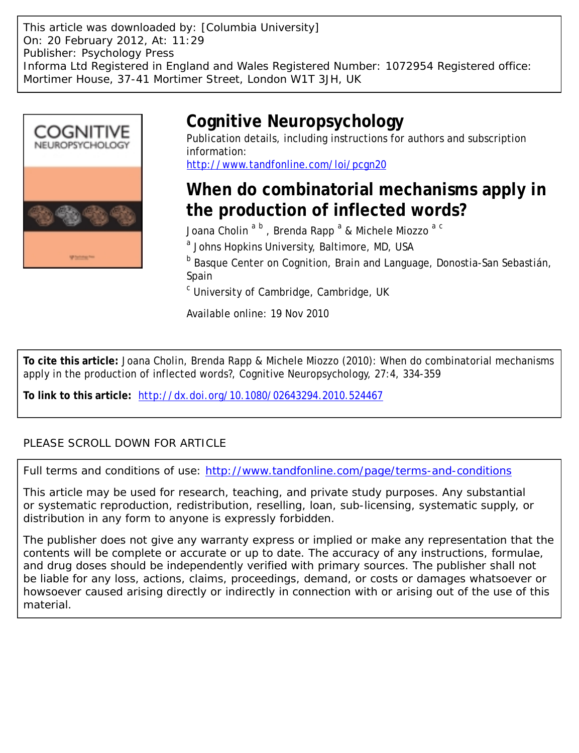This article was downloaded by: [Columbia University] On: 20 February 2012, At: 11:29 Publisher: Psychology Press Informa Ltd Registered in England and Wales Registered Number: 1072954 Registered office: Mortimer House, 37-41 Mortimer Street, London W1T 3JH, UK



# **Cognitive Neuropsychology**

Publication details, including instructions for authors and subscription information:

<http://www.tandfonline.com/loi/pcgn20>

# **When do combinatorial mechanisms apply in the production of inflected words?**

Joana Cholin <sup>a b</sup> , Brenda Rapp <sup>a</sup> & Michele Miozzo <sup>a c</sup>

<sup>a</sup> Johns Hopkins University, Baltimore, MD, USA

<sup>b</sup> Basque Center on Cognition, Brain and Language, Donostia-San Sebastián, Spain

<sup>c</sup> University of Cambridge, Cambridge, UK

Available online: 19 Nov 2010

**To cite this article:** Joana Cholin, Brenda Rapp & Michele Miozzo (2010): When do combinatorial mechanisms apply in the production of inflected words?, Cognitive Neuropsychology, 27:4, 334-359

**To link to this article:** <http://dx.doi.org/10.1080/02643294.2010.524467>

# PLEASE SCROLL DOWN FOR ARTICLE

Full terms and conditions of use:<http://www.tandfonline.com/page/terms-and-conditions>

This article may be used for research, teaching, and private study purposes. Any substantial or systematic reproduction, redistribution, reselling, loan, sub-licensing, systematic supply, or distribution in any form to anyone is expressly forbidden.

The publisher does not give any warranty express or implied or make any representation that the contents will be complete or accurate or up to date. The accuracy of any instructions, formulae, and drug doses should be independently verified with primary sources. The publisher shall not be liable for any loss, actions, claims, proceedings, demand, or costs or damages whatsoever or howsoever caused arising directly or indirectly in connection with or arising out of the use of this material.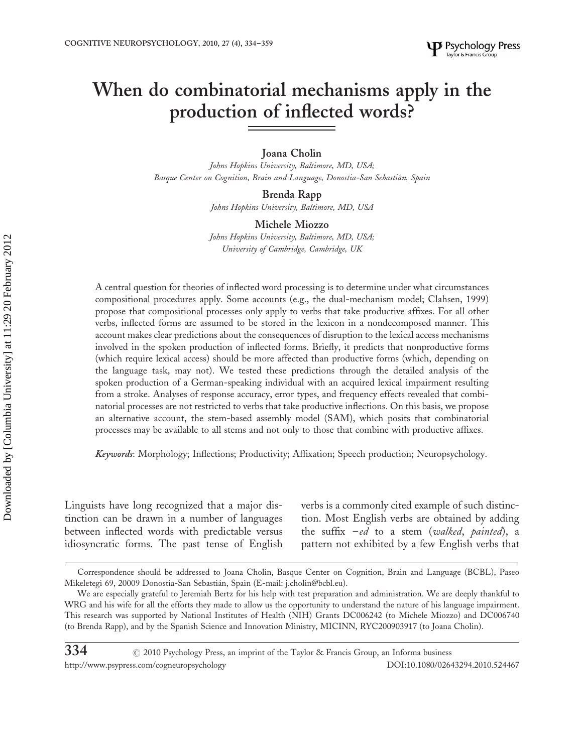# When do combinatorial mechanisms apply in the production of inflected words?

Joana Cholin

Johns Hopkins University, Baltimore, MD, USA; Basque Center on Cognition, Brain and Language, Donostia-San Sebastián, Spain

> Brenda Rapp Johns Hopkins University, Baltimore, MD, USA

> > Michele Miozzo

Johns Hopkins University, Baltimore, MD, USA; University of Cambridge, Cambridge, UK

A central question for theories of inflected word processing is to determine under what circumstances compositional procedures apply. Some accounts (e.g., the dual-mechanism model; Clahsen, 1999) propose that compositional processes only apply to verbs that take productive affixes. For all other verbs, inflected forms are assumed to be stored in the lexicon in a nondecomposed manner. This account makes clear predictions about the consequences of disruption to the lexical access mechanisms involved in the spoken production of inflected forms. Briefly, it predicts that nonproductive forms (which require lexical access) should be more affected than productive forms (which, depending on the language task, may not). We tested these predictions through the detailed analysis of the spoken production of a German-speaking individual with an acquired lexical impairment resulting from a stroke. Analyses of response accuracy, error types, and frequency effects revealed that combinatorial processes are not restricted to verbs that take productive inflections. On this basis, we propose an alternative account, the stem-based assembly model (SAM), which posits that combinatorial processes may be available to all stems and not only to those that combine with productive affixes.

Keywords: Morphology; Inflections; Productivity; Affixation; Speech production; Neuropsychology.

Linguists have long recognized that a major distinction can be drawn in a number of languages between inflected words with predictable versus idiosyncratic forms. The past tense of English verbs is a commonly cited example of such distinction. Most English verbs are obtained by adding the suffix  $-ed$  to a stem (walked, painted), a pattern not exhibited by a few English verbs that

Correspondence should be addressed to Joana Cholin, Basque Center on Cognition, Brain and Language (BCBL), Paseo Mikeletegi 69, 20009 Donostia-San Sebastián, Spain (E-mail: j.cholin@bcbl.eu).

We are especially grateful to Jeremiah Bertz for his help with test preparation and administration. We are deeply thankful to WRG and his wife for all the efforts they made to allow us the opportunity to understand the nature of his language impairment. This research was supported by National Institutes of Health (NIH) Grants DC006242 (to Michele Miozzo) and DC006740 (to Brenda Rapp), and by the Spanish Science and Innovation Ministry, MICINN, RYC200903917 (to Joana Cholin).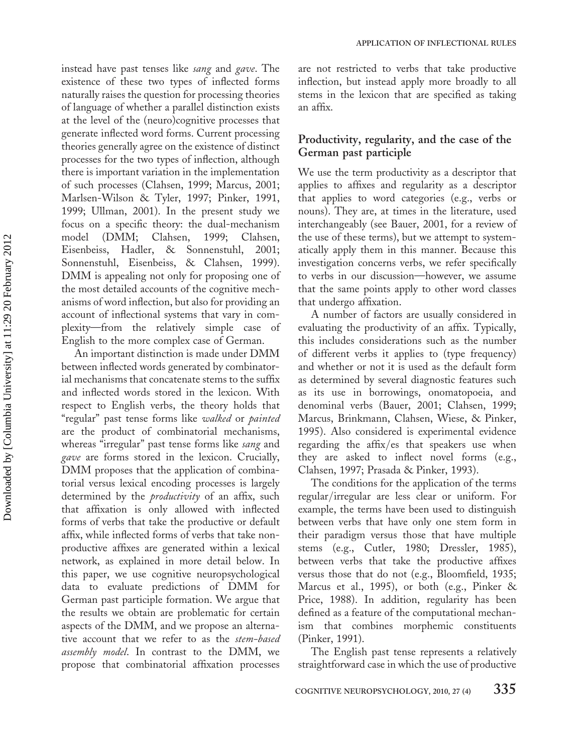instead have past tenses like sang and gave. The existence of these two types of inflected forms naturally raises the question for processing theories of language of whether a parallel distinction exists at the level of the (neuro)cognitive processes that generate inflected word forms. Current processing theories generally agree on the existence of distinct processes for the two types of inflection, although there is important variation in the implementation of such processes (Clahsen, 1999; Marcus, 2001; Marlsen-Wilson & Tyler, 1997; Pinker, 1991, 1999; Ullman, 2001). In the present study we focus on a specific theory: the dual-mechanism model (DMM; Clahsen, 1999; Clahsen, Eisenbeiss, Hadler, & Sonnenstuhl, 2001; Sonnenstuhl, Eisenbeiss, & Clahsen, 1999). DMM is appealing not only for proposing one of the most detailed accounts of the cognitive mechanisms of word inflection, but also for providing an account of inflectional systems that vary in complexity—from the relatively simple case of English to the more complex case of German.

An important distinction is made under DMM between inflected words generated by combinatorial mechanisms that concatenate stems to the suffix and inflected words stored in the lexicon. With respect to English verbs, the theory holds that "regular" past tense forms like walked or painted are the product of combinatorial mechanisms, whereas "irregular" past tense forms like sang and gave are forms stored in the lexicon. Crucially, DMM proposes that the application of combinatorial versus lexical encoding processes is largely determined by the *productivity* of an affix, such that affixation is only allowed with inflected forms of verbs that take the productive or default affix, while inflected forms of verbs that take nonproductive affixes are generated within a lexical network, as explained in more detail below. In this paper, we use cognitive neuropsychological data to evaluate predictions of DMM for German past participle formation. We argue that the results we obtain are problematic for certain aspects of the DMM, and we propose an alternative account that we refer to as the stem-based assembly model. In contrast to the DMM, we propose that combinatorial affixation processes

are not restricted to verbs that take productive inflection, but instead apply more broadly to all stems in the lexicon that are specified as taking an affix.

## Productivity, regularity, and the case of the German past participle

We use the term productivity as a descriptor that applies to affixes and regularity as a descriptor that applies to word categories (e.g., verbs or nouns). They are, at times in the literature, used interchangeably (see Bauer, 2001, for a review of the use of these terms), but we attempt to systematically apply them in this manner. Because this investigation concerns verbs, we refer specifically to verbs in our discussion—however, we assume that the same points apply to other word classes that undergo affixation.

A number of factors are usually considered in evaluating the productivity of an affix. Typically, this includes considerations such as the number of different verbs it applies to (type frequency) and whether or not it is used as the default form as determined by several diagnostic features such as its use in borrowings, onomatopoeia, and denominal verbs (Bauer, 2001; Clahsen, 1999; Marcus, Brinkmann, Clahsen, Wiese, & Pinker, 1995). Also considered is experimental evidence regarding the affix/es that speakers use when they are asked to inflect novel forms (e.g., Clahsen, 1997; Prasada & Pinker, 1993).

The conditions for the application of the terms regular/irregular are less clear or uniform. For example, the terms have been used to distinguish between verbs that have only one stem form in their paradigm versus those that have multiple stems (e.g., Cutler, 1980; Dressler, 1985), between verbs that take the productive affixes versus those that do not (e.g., Bloomfield, 1935; Marcus et al., 1995), or both (e.g., Pinker & Price, 1988). In addition, regularity has been defined as a feature of the computational mechanism that combines morphemic constituents (Pinker, 1991).

The English past tense represents a relatively straightforward case in which the use of productive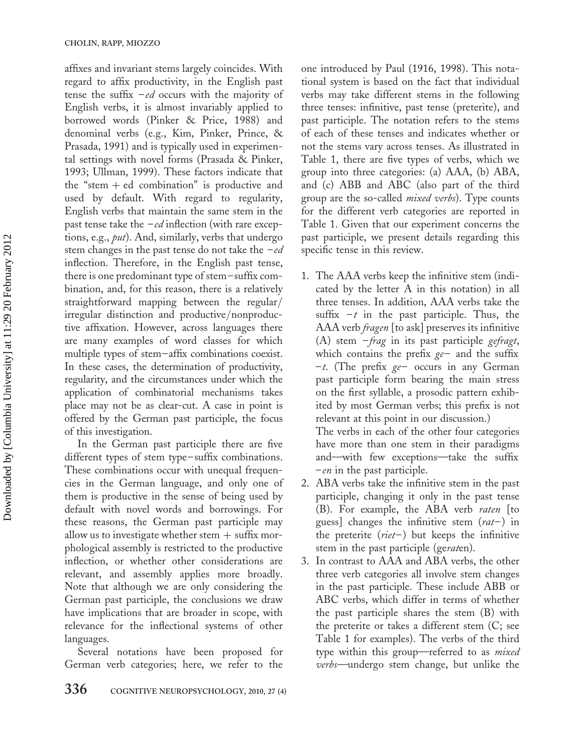affixes and invariant stems largely coincides. With regard to affix productivity, in the English past tense the suffix  $-e$ d occurs with the majority of English verbs, it is almost invariably applied to borrowed words (Pinker & Price, 1988) and denominal verbs (e.g., Kim, Pinker, Prince, & Prasada, 1991) and is typically used in experimental settings with novel forms (Prasada & Pinker, 1993; Ullman, 1999). These factors indicate that the "stem  $+$  ed combination" is productive and used by default. With regard to regularity, English verbs that maintain the same stem in the past tense take the  $-ed$  inflection (with rare exceptions, e.g., put). And, similarly, verbs that undergo stem changes in the past tense do not take the  $-ed$ inflection. Therefore, in the English past tense, there is one predominant type of stem – suffix combination, and, for this reason, there is a relatively straightforward mapping between the regular/ irregular distinction and productive/nonproductive affixation. However, across languages there are many examples of word classes for which multiple types of stem–affix combinations coexist. In these cases, the determination of productivity, regularity, and the circumstances under which the application of combinatorial mechanisms takes place may not be as clear-cut. A case in point is offered by the German past participle, the focus of this investigation.

In the German past participle there are five different types of stem type-suffix combinations. These combinations occur with unequal frequencies in the German language, and only one of them is productive in the sense of being used by default with novel words and borrowings. For these reasons, the German past participle may allow us to investigate whether stem  $+$  suffix morphological assembly is restricted to the productive inflection, or whether other considerations are relevant, and assembly applies more broadly. Note that although we are only considering the German past participle, the conclusions we draw have implications that are broader in scope, with relevance for the inflectional systems of other languages.

Several notations have been proposed for German verb categories; here, we refer to the one introduced by Paul (1916, 1998). This notational system is based on the fact that individual verbs may take different stems in the following three tenses: infinitive, past tense (preterite), and past participle. The notation refers to the stems of each of these tenses and indicates whether or not the stems vary across tenses. As illustrated in Table 1, there are five types of verbs, which we group into three categories: (a) AAA, (b) ABA, and (c) ABB and ABC (also part of the third group are the so-called *mixed verbs*). Type counts for the different verb categories are reported in Table 1. Given that our experiment concerns the past participle, we present details regarding this specific tense in this review.

1. The AAA verbs keep the infinitive stem (indicated by the letter A in this notation) in all three tenses. In addition, AAA verbs take the suffix  $-t$  in the past participle. Thus, the AAA verb *fragen* [to ask] preserves its infinitive (A) stem  $-frag$  in its past participle gefragt, which contains the prefix  $ge-$  and the suffix  $-t$ . (The prefix  $ge-$  occurs in any German past participle form bearing the main stress on the first syllable, a prosodic pattern exhibited by most German verbs; this prefix is not relevant at this point in our discussion.) The verbs in each of the other four categories

have more than one stem in their paradigms and—with few exceptions—take the suffix  $-en$  in the past participle.

- 2. ABA verbs take the infinitive stem in the past participle, changing it only in the past tense (B). For example, the ABA verb raten [to guess] changes the infinitive stem  $(rat-)$  in the preterite  $(\text{riet}-)$  but keeps the infinitive stem in the past participle (geraten).
- 3. In contrast to AAA and ABA verbs, the other three verb categories all involve stem changes in the past participle. These include ABB or ABC verbs, which differ in terms of whether the past participle shares the stem (B) with the preterite or takes a different stem (C; see Table 1 for examples). The verbs of the third type within this group—referred to as *mixed* verbs—undergo stem change, but unlike the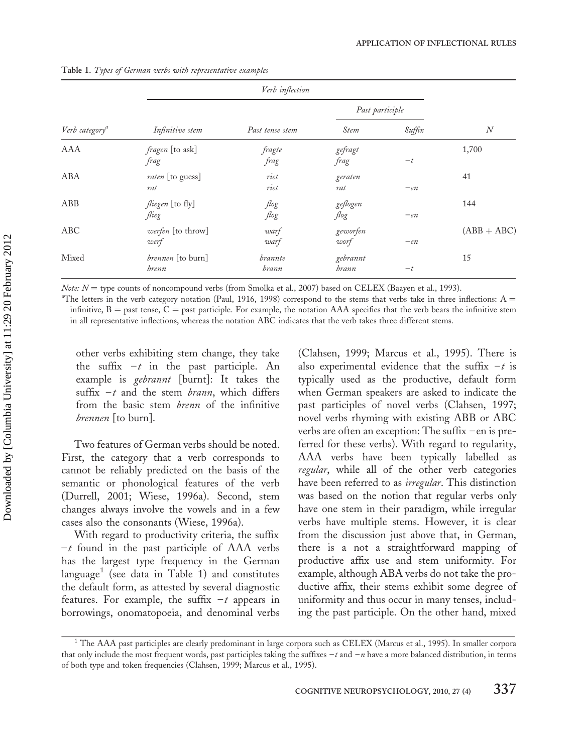| Verb category <sup>a</sup> |                                   | Verb inflection  |                   |                               |                  |  |  |  |  |  |
|----------------------------|-----------------------------------|------------------|-------------------|-------------------------------|------------------|--|--|--|--|--|
|                            |                                   |                  | Past participle   |                               |                  |  |  |  |  |  |
|                            | Infinitive stem                   | Past tense stem  | <b>Stem</b>       | $\mathcal{S}\mathcal{U}$ ffix | $\boldsymbol{N}$ |  |  |  |  |  |
| AAA                        | fragen [to ask]<br>frag           | fragte<br>frag   | gefragt<br>frag   | $-t$                          | 1,700            |  |  |  |  |  |
| ABA                        | raten [to guess]<br>rat           | riet<br>riet     | geraten<br>rat    | $-en$                         | 41               |  |  |  |  |  |
| ABB                        | fliegen [to fly]<br>flieg         | flog<br>flog     | geflogen<br>flog  | $-en$                         | 144              |  |  |  |  |  |
| ABC                        | werfen [to throw]<br>werf         | warf<br>warf     | geworfen<br>worf  | $-en$                         | $(ABB + ABC)$    |  |  |  |  |  |
| Mixed                      | <i>brennen</i> [to burn]<br>brenn | brannte<br>brann | gebrannt<br>brann | $-t$                          | 15               |  |  |  |  |  |

Table 1. Types of German verbs with representative examples

*Note:*  $N =$  type counts of noncompound verbs (from Smolka et al., 2007) based on CELEX (Baayen et al., 1993).

<sup>a</sup>The letters in the verb category notation (Paul, 1916, 1998) correspond to the stems that verbs take in three inflections:  $A =$ infinitive,  $B =$  past tense,  $C =$  past participle. For example, the notation AAA specifies that the verb bears the infinitive stem in all representative inflections, whereas the notation ABC indicates that the verb takes three different stems.

other verbs exhibiting stem change, they take the suffix  $-t$  in the past participle. An example is *gebrannt* [burnt]: It takes the suffix  $-t$  and the stem *brann*, which differs from the basic stem *brenn* of the infinitive brennen [to burn].

Two features of German verbs should be noted. First, the category that a verb corresponds to cannot be reliably predicted on the basis of the semantic or phonological features of the verb (Durrell, 2001; Wiese, 1996a). Second, stem changes always involve the vowels and in a few cases also the consonants (Wiese, 1996a).

With regard to productivity criteria, the suffix  $-t$  found in the past participle of AAA verbs has the largest type frequency in the German language<sup>1</sup> (see data in Table 1) and constitutes the default form, as attested by several diagnostic features. For example, the suffix  $-t$  appears in borrowings, onomatopoeia, and denominal verbs

(Clahsen, 1999; Marcus et al., 1995). There is also experimental evidence that the suffix  $-t$  is typically used as the productive, default form when German speakers are asked to indicate the past participles of novel verbs (Clahsen, 1997; novel verbs rhyming with existing ABB or ABC verbs are often an exception: The suffix –en is preferred for these verbs). With regard to regularity, AAA verbs have been typically labelled as regular, while all of the other verb categories have been referred to as *irregular*. This distinction was based on the notion that regular verbs only have one stem in their paradigm, while irregular verbs have multiple stems. However, it is clear from the discussion just above that, in German, there is a not a straightforward mapping of productive affix use and stem uniformity. For example, although ABA verbs do not take the productive affix, their stems exhibit some degree of uniformity and thus occur in many tenses, including the past participle. On the other hand, mixed

<sup>1</sup> The AAA past participles are clearly predominant in large corpora such as CELEX (Marcus et al., 1995). In smaller corpora that only include the most frequent words, past participles taking the suffixes  $-t$  and  $-n$  have a more balanced distribution, in terms of both type and token frequencies (Clahsen, 1999; Marcus et al., 1995).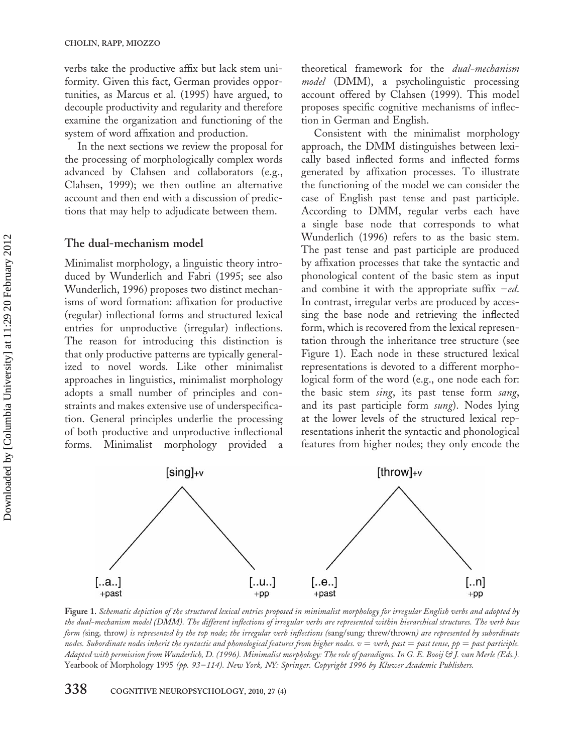verbs take the productive affix but lack stem uniformity. Given this fact, German provides opportunities, as Marcus et al. (1995) have argued, to decouple productivity and regularity and therefore examine the organization and functioning of the system of word affixation and production.

In the next sections we review the proposal for the processing of morphologically complex words advanced by Clahsen and collaborators (e.g., Clahsen, 1999); we then outline an alternative account and then end with a discussion of predictions that may help to adjudicate between them.

#### The dual-mechanism model

Minimalist morphology, a linguistic theory introduced by Wunderlich and Fabri (1995; see also Wunderlich, 1996) proposes two distinct mechanisms of word formation: affixation for productive (regular) inflectional forms and structured lexical entries for unproductive (irregular) inflections. The reason for introducing this distinction is that only productive patterns are typically generalized to novel words. Like other minimalist approaches in linguistics, minimalist morphology adopts a small number of principles and constraints and makes extensive use of underspecification. General principles underlie the processing of both productive and unproductive inflectional forms. Minimalist morphology provided a theoretical framework for the dual-mechanism model (DMM), a psycholinguistic processing account offered by Clahsen (1999). This model proposes specific cognitive mechanisms of inflection in German and English.

Consistent with the minimalist morphology approach, the DMM distinguishes between lexically based inflected forms and inflected forms generated by affixation processes. To illustrate the functioning of the model we can consider the case of English past tense and past participle. According to DMM, regular verbs each have a single base node that corresponds to what Wunderlich (1996) refers to as the basic stem. The past tense and past participle are produced by affixation processes that take the syntactic and phonological content of the basic stem as input and combine it with the appropriate suffix  $-ed$ . In contrast, irregular verbs are produced by accessing the base node and retrieving the inflected form, which is recovered from the lexical representation through the inheritance tree structure (see Figure 1). Each node in these structured lexical representations is devoted to a different morphological form of the word (e.g., one node each for: the basic stem sing, its past tense form sang, and its past participle form sung). Nodes lying at the lower levels of the structured lexical representations inherit the syntactic and phonological features from higher nodes; they only encode the



Figure 1. Schematic depiction of the structured lexical entries proposed in minimalist morphology for irregular English verbs and adopted by the dual-mechanism model (DMM). The different inflections of irregular verbs are represented within hierarchical structures. The verb base form (sing, throw) is represented by the top node; the irregular verb inflections (sang/sung; threw/thrown) are represented by subordinate nodes. Subordinate nodes inherit the syntactic and phonological features from higher nodes.  $v =$  verb, past  $=$  past tense, pp  $=$  past participle. Adapted with permission from Wunderlich, D. (1996). Minimalist morphology: The role of paradigms. In G. E. Booij & J. van Merle (Eds.). Yearbook of Morphology 1995 (pp. 93–114). New York, NY: Springer. Copyright 1996 by Kluwer Academic Publishers.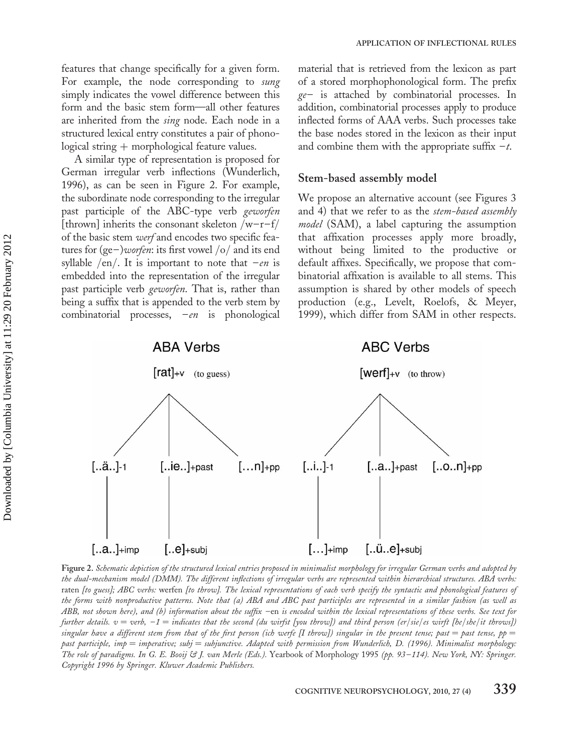features that change specifically for a given form. For example, the node corresponding to *sung* simply indicates the vowel difference between this form and the basic stem form—all other features are inherited from the *sing* node. Each node in a structured lexical entry constitutes a pair of phonological string + morphological feature values.

A similar type of representation is proposed for German irregular verb inflections (Wunderlich, 1996), as can be seen in Figure 2. For example, the subordinate node corresponding to the irregular past participle of the ABC-type verb geworfen [thrown] inherits the consonant skeleton  $/w-r-f/$ of the basic stem werf and encodes two specific features for  $(ge-)worden$ : its first vowel /o/ and its end syllable /en/. It is important to note that  $-en$  is embedded into the representation of the irregular past participle verb geworfen. That is, rather than being a suffix that is appended to the verb stem by combinatorial processes,  $-en$  is phonological

material that is retrieved from the lexicon as part of a stored morphophonological form. The prefix ge– is attached by combinatorial processes. In addition, combinatorial processes apply to produce inflected forms of AAA verbs. Such processes take the base nodes stored in the lexicon as their input and combine them with the appropriate suffix  $-t$ .

#### Stem-based assembly model

We propose an alternative account (see Figures 3 and 4) that we refer to as the stem-based assembly model (SAM), a label capturing the assumption that affixation processes apply more broadly, without being limited to the productive or default affixes. Specifically, we propose that combinatorial affixation is available to all stems. This assumption is shared by other models of speech production (e.g., Levelt, Roelofs, & Meyer, 1999), which differ from SAM in other respects.



Figure 2. Schematic depiction of the structured lexical entries proposed in minimalist morphology for irregular German verbs and adopted by the dual-mechanism model (DMM). The different inflections of irregular verbs are represented within hierarchical structures. ABA verbs: raten [to guess]; ABC verbs: werfen [to throw]. The lexical representations of each verb specify the syntactic and phonological features of the forms with nonproductive patterns. Note that (a) ABA and ABC past participles are represented in a similar fashion (as well as ABB, not shown here), and (b) information about the suffix –en is encoded within the lexical representations of these verbs. See text for further details.  $v=$  verb,  $-1=$  indicates that the second (du wirfst [you throw]) and third person (er/sie/es wirft [he/she/it throws]) singular have a different stem from that of the first person (ich werfe [I throw]) singular in the present tense; past = past tense, pp = past participle, imp = imperative; subj = subjunctive. Adapted with permission from Wunderlich, D. (1996). Minimalist morphology: The role of paradigms. In G. E. Booij & J. van Merle (Eds.). Yearbook of Morphology 1995 (pp. 93–114). New York, NY: Springer. Copyright 1996 by Springer. Kluwer Academic Publishers.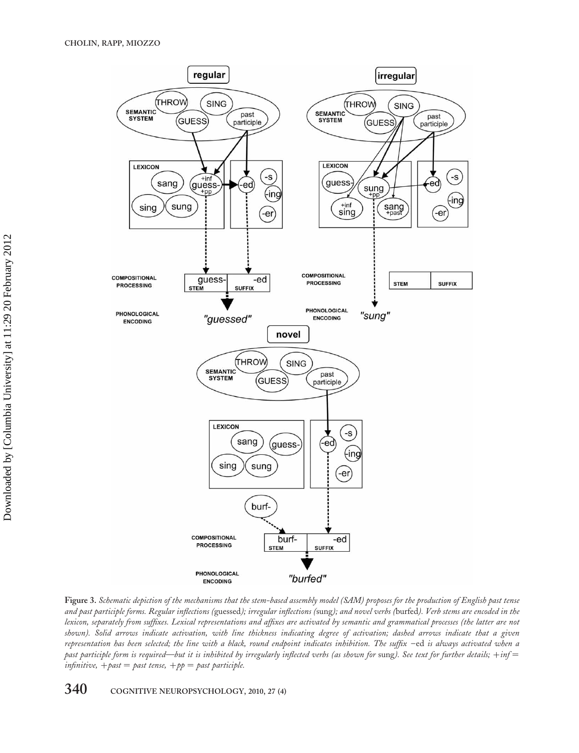

Figure 3. Schematic depiction of the mechanisms that the stem-based assembly model (SAM) proposes for the production of English past tense and past participle forms. Regular inflections (guessed); irregular inflections (sung); and novel verbs (burfed). Verb stems are encoded in the lexicon, separately from suffixes. Lexical representations and affixes are activated by semantic and grammatical processes (the latter are not shown). Solid arrows indicate activation, with line thickness indicating degree of activation; dashed arrows indicate that a given representation has been selected; the line with a black, round endpoint indicates inhibition. The suffix –ed is always activated when a past participle form is required—but it is inhibited by irregularly inflected verbs (as shown for sung). See text for further details;  $+inf$ infinitive,  $+past = past$  tense,  $+pp = past$  past participle.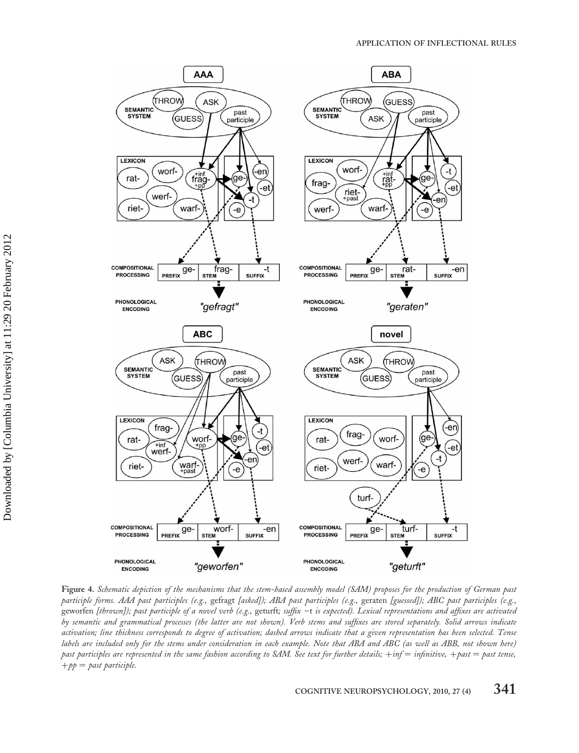

Figure 4. Schematic depiction of the mechanisms that the stem-based assembly model (SAM) proposes for the production of German past participle forms. AAA past participles (e.g., gefragt [asked]); ABA past participles (e.g., geraten [guessed]); ABC past participles (e.g., geworfen [thrown]); past participle of a novel verb (e.g., geturft; suffix –t is expected). Lexical representations and affixes are activated by semantic and grammatical processes (the latter are not shown). Verb stems and suffixes are stored separately. Solid arrows indicate activation; line thickness corresponds to degree of activation; dashed arrows indicate that a given representation has been selected. Tense labels are included only for the stems under consideration in each example. Note that ABA and ABC (as well as ABB, not shown here) past participles are represented in the same fashion according to SAM. See text for further details;  $+inf =$  infinitive,  $+past =$  past tense,  $+pb = past$  participle.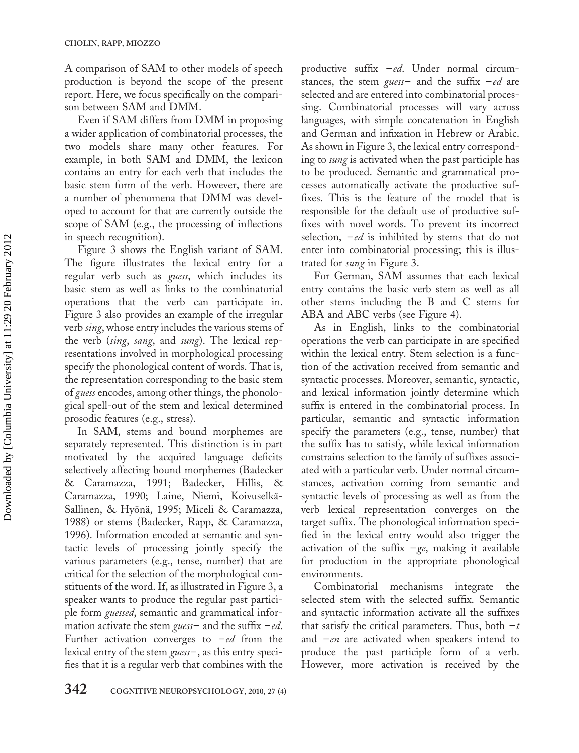A comparison of SAM to other models of speech production is beyond the scope of the present report. Here, we focus specifically on the comparison between SAM and DMM.

Even if SAM differs from DMM in proposing a wider application of combinatorial processes, the two models share many other features. For example, in both SAM and DMM, the lexicon contains an entry for each verb that includes the basic stem form of the verb. However, there are a number of phenomena that DMM was developed to account for that are currently outside the scope of SAM (e.g., the processing of inflections in speech recognition).

Figure 3 shows the English variant of SAM. The figure illustrates the lexical entry for a regular verb such as *guess*, which includes its basic stem as well as links to the combinatorial operations that the verb can participate in. Figure 3 also provides an example of the irregular verb sing, whose entry includes the various stems of the verb (sing, sang, and sung). The lexical representations involved in morphological processing specify the phonological content of words. That is, the representation corresponding to the basic stem of guess encodes, among other things, the phonological spell-out of the stem and lexical determined prosodic features (e.g., stress).

In SAM, stems and bound morphemes are separately represented. This distinction is in part motivated by the acquired language deficits selectively affecting bound morphemes (Badecker & Caramazza, 1991; Badecker, Hillis, & Caramazza, 1990; Laine, Niemi, Koivuselkä-Sallinen, & Hyönä, 1995; Miceli & Caramazza, 1988) or stems (Badecker, Rapp, & Caramazza, 1996). Information encoded at semantic and syntactic levels of processing jointly specify the various parameters (e.g., tense, number) that are critical for the selection of the morphological constituents of the word. If, as illustrated in Figure 3, a speaker wants to produce the regular past participle form guessed, semantic and grammatical information activate the stem *guess* – and the suffix  $-ed$ . Further activation converges to  $-e$ d from the lexical entry of the stem guess–, as this entry specifies that it is a regular verb that combines with the productive suffix  $-ed$ . Under normal circumstances, the stem *guess*- and the suffix  $-e^{i}$  are selected and are entered into combinatorial processing. Combinatorial processes will vary across languages, with simple concatenation in English and German and infixation in Hebrew or Arabic. As shown in Figure 3, the lexical entry corresponding to *sung* is activated when the past participle has to be produced. Semantic and grammatical processes automatically activate the productive suffixes. This is the feature of the model that is responsible for the default use of productive suffixes with novel words. To prevent its incorrect selection,  $-ed$  is inhibited by stems that do not enter into combinatorial processing; this is illustrated for sung in Figure 3.

For German, SAM assumes that each lexical entry contains the basic verb stem as well as all other stems including the B and C stems for ABA and ABC verbs (see Figure 4).

As in English, links to the combinatorial operations the verb can participate in are specified within the lexical entry. Stem selection is a function of the activation received from semantic and syntactic processes. Moreover, semantic, syntactic, and lexical information jointly determine which suffix is entered in the combinatorial process. In particular, semantic and syntactic information specify the parameters (e.g., tense, number) that the suffix has to satisfy, while lexical information constrains selection to the family of suffixes associated with a particular verb. Under normal circumstances, activation coming from semantic and syntactic levels of processing as well as from the verb lexical representation converges on the target suffix. The phonological information specified in the lexical entry would also trigger the activation of the suffix  $-ge$ , making it available for production in the appropriate phonological environments.

Combinatorial mechanisms integrate the selected stem with the selected suffix. Semantic and syntactic information activate all the suffixes that satisfy the critical parameters. Thus, both  $-t$ and  $-en$  are activated when speakers intend to produce the past participle form of a verb. However, more activation is received by the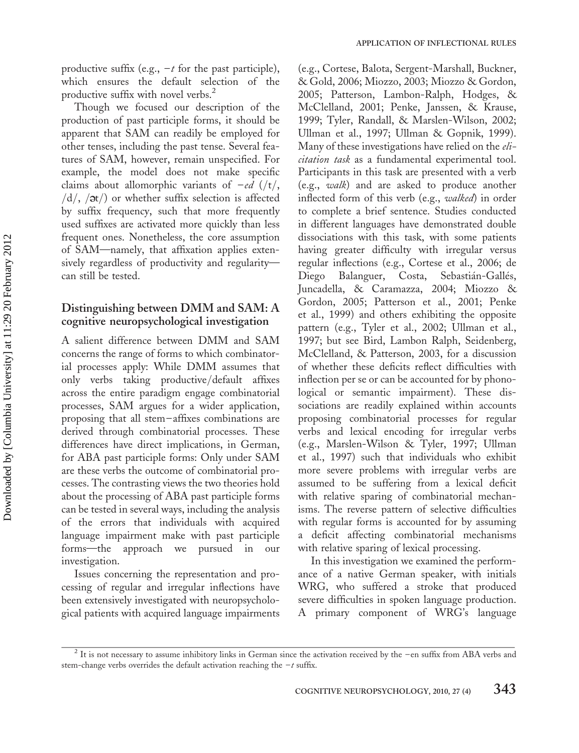productive suffix (e.g.,  $-t$  for the past participle), which ensures the default selection of the productive suffix with novel verbs.<sup>2</sup>

Though we focused our description of the production of past participle forms, it should be apparent that SAM can readily be employed for other tenses, including the past tense. Several features of SAM, however, remain unspecified. For example, the model does not make specific claims about allomorphic variants of  $-e$ d (/t/,  $/d/$ ,  $/9t/$  or whether suffix selection is affected by suffix frequency, such that more frequently used suffixes are activated more quickly than less frequent ones. Nonetheless, the core assumption of SAM—namely, that affixation applies extensively regardless of productivity and regularity can still be tested.

## Distinguishing between DMM and SAM: A cognitive neuropsychological investigation

A salient difference between DMM and SAM concerns the range of forms to which combinatorial processes apply: While DMM assumes that only verbs taking productive/default affixes across the entire paradigm engage combinatorial processes, SAM argues for a wider application, proposing that all stem –affixes combinations are derived through combinatorial processes. These differences have direct implications, in German, for ABA past participle forms: Only under SAM are these verbs the outcome of combinatorial processes. The contrasting views the two theories hold about the processing of ABA past participle forms can be tested in several ways, including the analysis of the errors that individuals with acquired language impairment make with past participle forms—the approach we pursued in our investigation.

Issues concerning the representation and processing of regular and irregular inflections have been extensively investigated with neuropsychological patients with acquired language impairments

(e.g., Cortese, Balota, Sergent-Marshall, Buckner, & Gold, 2006; Miozzo, 2003; Miozzo & Gordon, 2005; Patterson, Lambon-Ralph, Hodges, & McClelland, 2001; Penke, Janssen, & Krause, 1999; Tyler, Randall, & Marslen-Wilson, 2002; Ullman et al., 1997; Ullman & Gopnik, 1999). Many of these investigations have relied on the *eli*citation task as a fundamental experimental tool. Participants in this task are presented with a verb (e.g., walk) and are asked to produce another inflected form of this verb (e.g., walked) in order to complete a brief sentence. Studies conducted in different languages have demonstrated double dissociations with this task, with some patients having greater difficulty with irregular versus regular inflections (e.g., Cortese et al., 2006; de Diego Balanguer, Costa, Sebastián-Gallés, Juncadella, & Caramazza, 2004; Miozzo & Gordon, 2005; Patterson et al., 2001; Penke et al., 1999) and others exhibiting the opposite pattern (e.g., Tyler et al., 2002; Ullman et al., 1997; but see Bird, Lambon Ralph, Seidenberg, McClelland, & Patterson, 2003, for a discussion of whether these deficits reflect difficulties with inflection per se or can be accounted for by phonological or semantic impairment). These dissociations are readily explained within accounts proposing combinatorial processes for regular verbs and lexical encoding for irregular verbs (e.g., Marslen-Wilson & Tyler, 1997; Ullman et al., 1997) such that individuals who exhibit more severe problems with irregular verbs are assumed to be suffering from a lexical deficit with relative sparing of combinatorial mechanisms. The reverse pattern of selective difficulties with regular forms is accounted for by assuming a deficit affecting combinatorial mechanisms with relative sparing of lexical processing.

In this investigation we examined the performance of a native German speaker, with initials WRG, who suffered a stroke that produced severe difficulties in spoken language production. A primary component of WRG's language

<sup>2</sup> It is not necessary to assume inhibitory links in German since the activation received by the –en suffix from ABA verbs and stem-change verbs overrides the default activation reaching the  $-t$  suffix.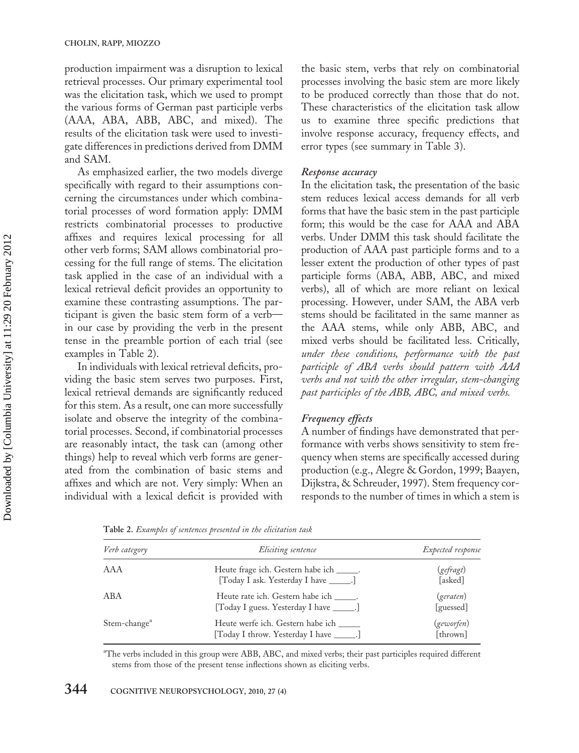production impairment was a disruption to lexical retrieval processes. Our primary experimental tool was the elicitation task, which we used to prompt the various forms of German past participle verbs (AAA, ABA, ABB, ABC, and mixed). The results of the elicitation task were used to investigate differences in predictions derived from DMM and SAM.

As emphasized earlier, the two models diverge specifically with regard to their assumptions concerning the circumstances under which combinatorial processes of word formation apply: DMM restricts combinatorial processes to productive affixes and requires lexical processing for all other verb forms; SAM allows combinatorial processing for the full range of stems. The elicitation task applied in the case of an individual with a lexical retrieval deficit provides an opportunity to examine these contrasting assumptions. The participant is given the basic stem form of a verb in our case by providing the verb in the present tense in the preamble portion of each trial (see examples in Table 2).

In individuals with lexical retrieval deficits, providing the basic stem serves two purposes. First, lexical retrieval demands are significantly reduced for this stem. As a result, one can more successfully isolate and observe the integrity of the combinatorial processes. Second, if combinatorial processes are reasonably intact, the task can (among other things) help to reveal which verb forms are generated from the combination of basic stems and affixes and which are not. Very simply: When an individual with a lexical deficit is provided with the basic stem, verbs that rely on combinatorial processes involving the basic stem are more likely to be produced correctly than those that do not. These characteristics of the elicitation task allow us to examine three specific predictions that involve response accuracy, frequency effects, and error types (see summary in Table 3).

## Response accuracy

In the elicitation task, the presentation of the basic stem reduces lexical access demands for all verb forms that have the basic stem in the past participle form; this would be the case for AAA and ABA verbs. Under DMM this task should facilitate the production of AAA past participle forms and to a lesser extent the production of other types of past participle forms (ABA, ABB, ABC, and mixed verbs), all of which are more reliant on lexical processing. However, under SAM, the ABA verb stems should be facilitated in the same manner as the AAA stems, while only ABB, ABC, and mixed verbs should be facilitated less. Critically, under these conditions, performance with the past participle of ABA verbs should pattern with AAA verbs and not with the other irregular, stem-changing past participles of the ABB, ABC, and mixed verbs.

## Frequency effects

A number of findings have demonstrated that performance with verbs shows sensitivity to stem frequency when stems are specifically accessed during production (e.g., Alegre & Gordon, 1999; Baayen, Dijkstra, & Schreuder, 1997). Stem frequency corresponds to the number of times in which a stem is

| Verb category            | Eliciting sentence                                                                    | Expected response      |
|--------------------------|---------------------------------------------------------------------------------------|------------------------|
| AAA                      | Heute frage ich. Gestern habe ich ______.<br>[Today I ask. Yesterday I have ______.]  | (gefragt)<br>[asked]   |
| ABA                      | Heute rate ich. Gestern habe ich ______.<br>[Today I guess. Yesterday I have ______.] | (geraten)<br>[guessed] |
| Stem-change <sup>a</sup> | Heute werfe ich. Gestern habe ich<br>[Today I throw. Yesterday I have ______.]        | (geworfen)<br>[thrown] |

Table 2. Examples of sentences presented in the elicitation task

a The verbs included in this group were ABB, ABC, and mixed verbs; their past participles required different stems from those of the present tense inflections shown as eliciting verbs.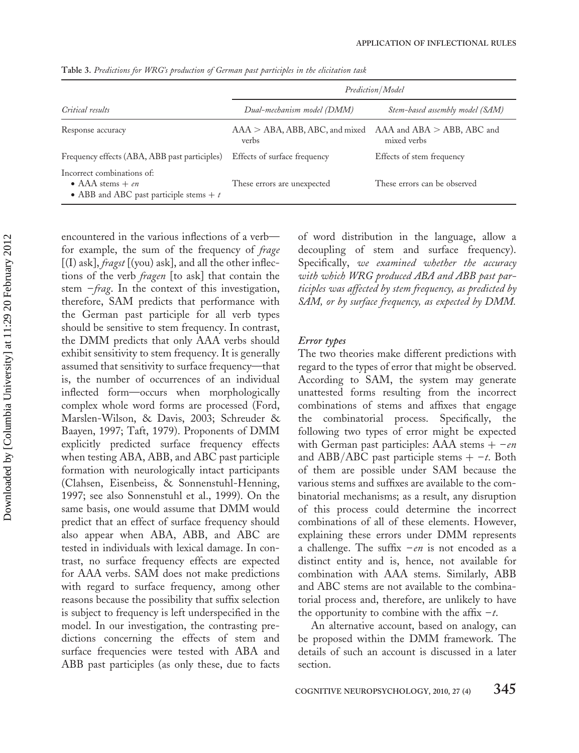|                                                                                               | Prediction/Model                                                          |                                 |  |  |  |  |  |
|-----------------------------------------------------------------------------------------------|---------------------------------------------------------------------------|---------------------------------|--|--|--|--|--|
| Critical results                                                                              | Dual-mechanism model (DMM)                                                | Stem-based assembly model (SAM) |  |  |  |  |  |
| Response accuracy                                                                             | $AAA > ABA$ , ABB, ABC, and mixed $AAA$ and ABA $>$ ABB, ABC and<br>verbs | mixed verbs                     |  |  |  |  |  |
| Frequency effects (ABA, ABB past participles)                                                 | Effects of surface frequency                                              | Effects of stem frequency       |  |  |  |  |  |
| Incorrect combinations of:<br>• AAA stems $+ en$<br>• ABB and ABC past participle stems $+ t$ | These errors are unexpected                                               | These errors can be observed    |  |  |  |  |  |

Table 3. Predictions for WRG's production of German past participles in the elicitation task

encountered in the various inflections of a verb for example, the sum of the frequency of frage  $[(I)$  ask], *fragst* [(you) ask], and all the other inflections of the verb fragen [to ask] that contain the stem  $-frag$ . In the context of this investigation, therefore, SAM predicts that performance with the German past participle for all verb types should be sensitive to stem frequency. In contrast, the DMM predicts that only AAA verbs should exhibit sensitivity to stem frequency. It is generally assumed that sensitivity to surface frequency—that is, the number of occurrences of an individual inflected form—occurs when morphologically complex whole word forms are processed (Ford, Marslen-Wilson, & Davis, 2003; Schreuder & Baayen, 1997; Taft, 1979). Proponents of DMM explicitly predicted surface frequency effects when testing ABA, ABB, and ABC past participle formation with neurologically intact participants (Clahsen, Eisenbeiss, & Sonnenstuhl-Henning, 1997; see also Sonnenstuhl et al., 1999). On the same basis, one would assume that DMM would predict that an effect of surface frequency should also appear when ABA, ABB, and ABC are tested in individuals with lexical damage. In contrast, no surface frequency effects are expected for AAA verbs. SAM does not make predictions with regard to surface frequency, among other reasons because the possibility that suffix selection is subject to frequency is left underspecified in the model. In our investigation, the contrasting predictions concerning the effects of stem and surface frequencies were tested with ABA and ABB past participles (as only these, due to facts

of word distribution in the language, allow a decoupling of stem and surface frequency). Specifically, we examined whether the accuracy with which WRG produced ABA and ABB past participles was affected by stem frequency, as predicted by SAM, or by surface frequency, as expected by DMM.

#### Error types

The two theories make different predictions with regard to the types of error that might be observed. According to SAM, the system may generate unattested forms resulting from the incorrect combinations of stems and affixes that engage the combinatorial process. Specifically, the following two types of error might be expected with German past participles: AAA stems  $+$  –en and ABB/ABC past participle stems  $+ -t$ . Both of them are possible under SAM because the various stems and suffixes are available to the combinatorial mechanisms; as a result, any disruption of this process could determine the incorrect combinations of all of these elements. However, explaining these errors under DMM represents a challenge. The suffix  $-en$  is not encoded as a distinct entity and is, hence, not available for combination with AAA stems. Similarly, ABB and ABC stems are not available to the combinatorial process and, therefore, are unlikely to have the opportunity to combine with the affix  $-t$ .

An alternative account, based on analogy, can be proposed within the DMM framework. The details of such an account is discussed in a later section.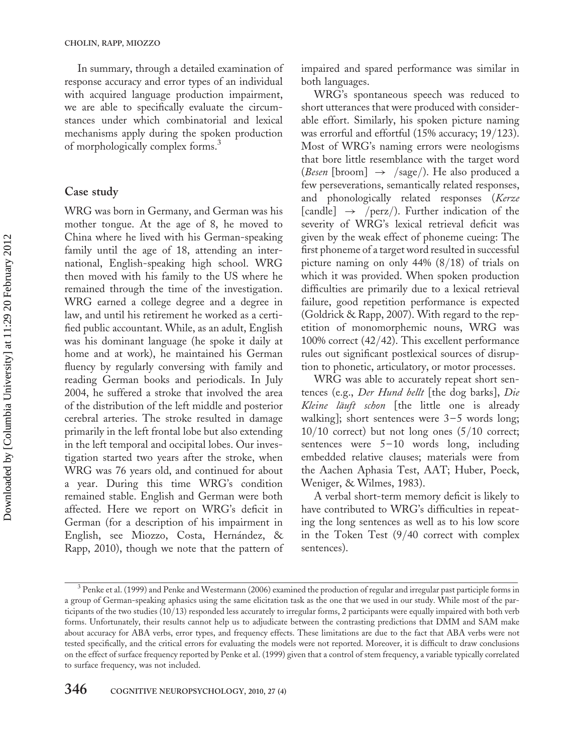In summary, through a detailed examination of response accuracy and error types of an individual with acquired language production impairment, we are able to specifically evaluate the circumstances under which combinatorial and lexical mechanisms apply during the spoken production of morphologically complex forms.<sup>3</sup>

### Case study

WRG was born in Germany, and German was his mother tongue. At the age of 8, he moved to China where he lived with his German-speaking family until the age of 18, attending an international, English-speaking high school. WRG then moved with his family to the US where he remained through the time of the investigation. WRG earned a college degree and a degree in law, and until his retirement he worked as a certified public accountant. While, as an adult, English was his dominant language (he spoke it daily at home and at work), he maintained his German fluency by regularly conversing with family and reading German books and periodicals. In July 2004, he suffered a stroke that involved the area of the distribution of the left middle and posterior cerebral arteries. The stroke resulted in damage primarily in the left frontal lobe but also extending in the left temporal and occipital lobes. Our investigation started two years after the stroke, when WRG was 76 years old, and continued for about a year. During this time WRG's condition remained stable. English and German were both affected. Here we report on WRG's deficit in German (for a description of his impairment in English, see Miozzo, Costa, Hernández, & Rapp, 2010), though we note that the pattern of impaired and spared performance was similar in both languages.

WRG's spontaneous speech was reduced to short utterances that were produced with considerable effort. Similarly, his spoken picture naming was errorful and effortful (15% accuracy; 19/123). Most of WRG's naming errors were neologisms that bore little resemblance with the target word (*Besen* [broom]  $\rightarrow$  /sage/). He also produced a few perseverations, semantically related responses, and phonologically related responses (Kerze [candle]  $\rightarrow$  /perz/). Further indication of the severity of WRG's lexical retrieval deficit was given by the weak effect of phoneme cueing: The first phoneme of a target word resulted in successful picture naming on only 44% (8/18) of trials on which it was provided. When spoken production difficulties are primarily due to a lexical retrieval failure, good repetition performance is expected (Goldrick & Rapp, 2007). With regard to the repetition of monomorphemic nouns, WRG was 100% correct (42/42). This excellent performance rules out significant postlexical sources of disruption to phonetic, articulatory, or motor processes.

WRG was able to accurately repeat short sentences (e.g., Der Hund bellt [the dog barks], Die Kleine läuft schon [the little one is already walking]; short sentences were  $3-5$  words long;  $10/10$  correct) but not long ones  $(5/10$  correct; sentences were  $5-10$  words long, including embedded relative clauses; materials were from the Aachen Aphasia Test, AAT; Huber, Poeck, Weniger, & Wilmes, 1983).

A verbal short-term memory deficit is likely to have contributed to WRG's difficulties in repeating the long sentences as well as to his low score in the Token Test (9/40 correct with complex sentences).

<sup>&</sup>lt;sup>3</sup> Penke et al. (1999) and Penke and Westermann (2006) examined the production of regular and irregular past participle forms in a group of German-speaking aphasics using the same elicitation task as the one that we used in our study. While most of the participants of the two studies (10/13) responded less accurately to irregular forms, 2 participants were equally impaired with both verb forms. Unfortunately, their results cannot help us to adjudicate between the contrasting predictions that DMM and SAM make about accuracy for ABA verbs, error types, and frequency effects. These limitations are due to the fact that ABA verbs were not tested specifically, and the critical errors for evaluating the models were not reported. Moreover, it is difficult to draw conclusions on the effect of surface frequency reported by Penke et al. (1999) given that a control of stem frequency, a variable typically correlated to surface frequency, was not included.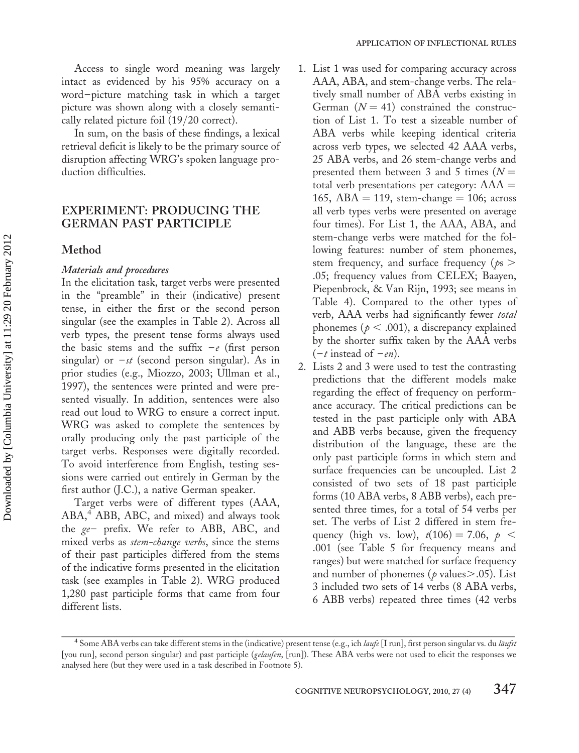Access to single word meaning was largely intact as evidenced by his 95% accuracy on a word –picture matching task in which a target picture was shown along with a closely semantically related picture foil (19/20 correct).

In sum, on the basis of these findings, a lexical retrieval deficit is likely to be the primary source of disruption affecting WRG's spoken language production difficulties.

## EXPERIMENT: PRODUCING THE GERMAN PAST PARTICIPLE

### Method

#### Materials and procedures

In the elicitation task, target verbs were presented in the "preamble" in their (indicative) present tense, in either the first or the second person singular (see the examples in Table 2). Across all verb types, the present tense forms always used the basic stems and the suffix  $-e$  (first person singular) or  $-st$  (second person singular). As in prior studies (e.g., Miozzo, 2003; Ullman et al., 1997), the sentences were printed and were presented visually. In addition, sentences were also read out loud to WRG to ensure a correct input. WRG was asked to complete the sentences by orally producing only the past participle of the target verbs. Responses were digitally recorded. To avoid interference from English, testing sessions were carried out entirely in German by the first author (J.C.), a native German speaker.

Target verbs were of different types (AAA, ABA,<sup>4</sup> ABB, ABC, and mixed) and always took the ge– prefix. We refer to ABB, ABC, and mixed verbs as *stem-change verbs*, since the stems of their past participles differed from the stems of the indicative forms presented in the elicitation task (see examples in Table 2). WRG produced 1,280 past participle forms that came from four different lists.

- 1. List 1 was used for comparing accuracy across AAA, ABA, and stem-change verbs. The relatively small number of ABA verbs existing in German  $(N = 41)$  constrained the construction of List 1. To test a sizeable number of ABA verbs while keeping identical criteria across verb types, we selected 42 AAA verbs, 25 ABA verbs, and 26 stem-change verbs and presented them between 3 and 5 times ( $N =$ total verb presentations per category:  $AAA =$ 165, ABA  $=$  119, stem-change  $=$  106; across all verb types verbs were presented on average four times). For List 1, the AAA, ABA, and stem-change verbs were matched for the following features: number of stem phonemes, stem frequency, and surface frequency ( $p_s$ ) .05; frequency values from CELEX; Baayen, Piepenbrock, & Van Rijn, 1993; see means in Table 4). Compared to the other types of verb, AAA verbs had significantly fewer total phonemes ( $p < .001$ ), a discrepancy explained by the shorter suffix taken by the AAA verbs  $(-t$  instead of  $-en$ ).
- 2. Lists 2 and 3 were used to test the contrasting predictions that the different models make regarding the effect of frequency on performance accuracy. The critical predictions can be tested in the past participle only with ABA and ABB verbs because, given the frequency distribution of the language, these are the only past participle forms in which stem and surface frequencies can be uncoupled. List 2 consisted of two sets of 18 past participle forms (10 ABA verbs, 8 ABB verbs), each presented three times, for a total of 54 verbs per set. The verbs of List 2 differed in stem frequency (high vs. low),  $t(106) = 7.06$ ,  $p <$ .001 (see Table 5 for frequency means and ranges) but were matched for surface frequency and number of phonemes ( $\rho$  values $>$ .05). List 3 included two sets of 14 verbs (8 ABA verbs, 6 ABB verbs) repeated three times (42 verbs

<sup>&</sup>lt;sup>4</sup> Some ABA verbs can take different stems in the (indicative) present tense (e.g., ich *laufe* [I run], first person singular vs. du *läufst* [you run], second person singular) and past participle (gelaufen, [run]). These ABA verbs were not used to elicit the responses we analysed here (but they were used in a task described in Footnote 5).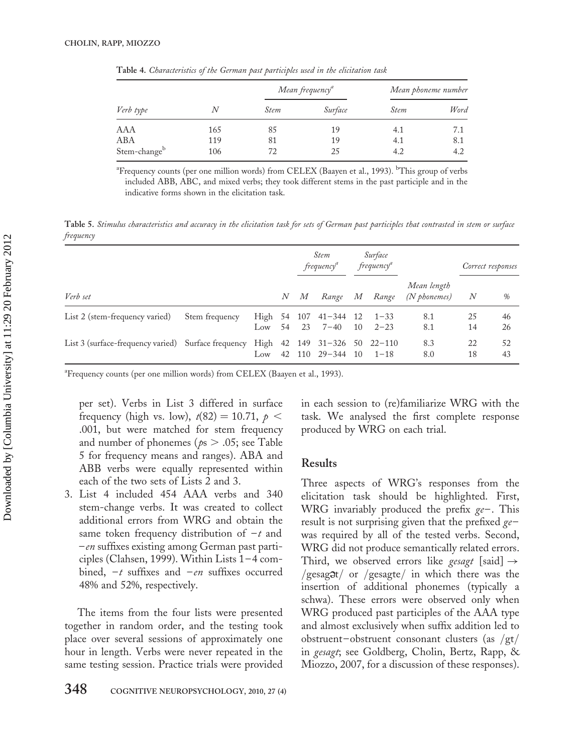|                          |     |      | Mean frequency <sup>a</sup> | Mean phoneme number |      |  |  |
|--------------------------|-----|------|-----------------------------|---------------------|------|--|--|
| Verb type                |     | Stem | Surface                     | Stem                | Wora |  |  |
| AAA                      | 165 | 85   | 19                          | 4.1                 | 7.1  |  |  |
| ABA                      | 119 | 81   | 19                          | 4.1                 | 8.1  |  |  |
| Stem-change <sup>b</sup> | 106 | 72   | 25                          | 4.2                 | 4.2  |  |  |

Table 4. Characteristics of the German past participles used in the elicitation task

<sup>a</sup>Frequency counts (per one million words) from CELEX (Baayen et al., 1993). <sup>b</sup>This group of verbs included ABB, ABC, and mixed verbs; they took different stems in the past participle and in the indicative forms shown in the elicitation task.

Table 5. Stimulus characteristics and accuracy in the elicitation task for sets of German past participles that contrasted in stem or surface frequency

|                                                     |                |                    |   | Stem<br><i>frequency</i> <sup>"</sup> |                                                    |    | Surface<br><i>frequency</i> <sup><i>a</i></sup> |                               | Correct responses |          |
|-----------------------------------------------------|----------------|--------------------|---|---------------------------------------|----------------------------------------------------|----|-------------------------------------------------|-------------------------------|-------------------|----------|
| Verb set                                            |                |                    | N | M                                     | Range                                              | M  | Range                                           | Mean length<br>$(N$ phonemes) | $\,N$             | %        |
| List 2 (stem-frequency varied)                      | Stem frequency | High 54 107<br>Low |   | 54 23                                 | $41 - 344$ 12<br>$7 - 40$                          | 10 | $1 - 33$<br>$2 - 23$                            | 8.1<br>8.1                    | 25<br>14          | 46<br>26 |
| List 3 (surface-frequency varied) Surface frequency |                | Low                |   |                                       | High 42 149 31-326 50 22-110<br>42 110 29 - 344 10 |    | $1 - 18$                                        | 8.3<br>8.0                    | 22<br>18          | 52<br>43 |

a Frequency counts (per one million words) from CELEX (Baayen et al., 1993).

per set). Verbs in List 3 differed in surface frequency (high vs. low),  $t(82) = 10.71$ ,  $p <$ .001, but were matched for stem frequency and number of phonemes ( $ps > .05$ ; see Table 5 for frequency means and ranges). ABA and ABB verbs were equally represented within each of the two sets of Lists 2 and 3.

3. List 4 included 454 AAA verbs and 340 stem-change verbs. It was created to collect additional errors from WRG and obtain the same token frequency distribution of  $-t$  and –en suffixes existing among German past participles (Clahsen, 1999). Within Lists 1-4 combined,  $-t$  suffixes and  $-en$  suffixes occurred 48% and 52%, respectively.

The items from the four lists were presented together in random order, and the testing took place over several sessions of approximately one hour in length. Verbs were never repeated in the same testing session. Practice trials were provided in each session to (re)familiarize WRG with the task. We analysed the first complete response produced by WRG on each trial.

#### Results

Three aspects of WRG's responses from the elicitation task should be highlighted. First, WRG invariably produced the prefix  $ge-$ . This result is not surprising given that the prefixed ge– was required by all of the tested verbs. Second, WRG did not produce semantically related errors. Third, we observed errors like *gesagt* [said]  $\rightarrow$  $/gesag<sup>3t</sup>$  or  $/gesag<sup>t</sup>$  in which there was the insertion of additional phonemes (typically a schwa). These errors were observed only when WRG produced past participles of the AAA type and almost exclusively when suffix addition led to obstruent –obstruent consonant clusters (as /gt/ in gesagt; see Goldberg, Cholin, Bertz, Rapp, & Miozzo, 2007, for a discussion of these responses).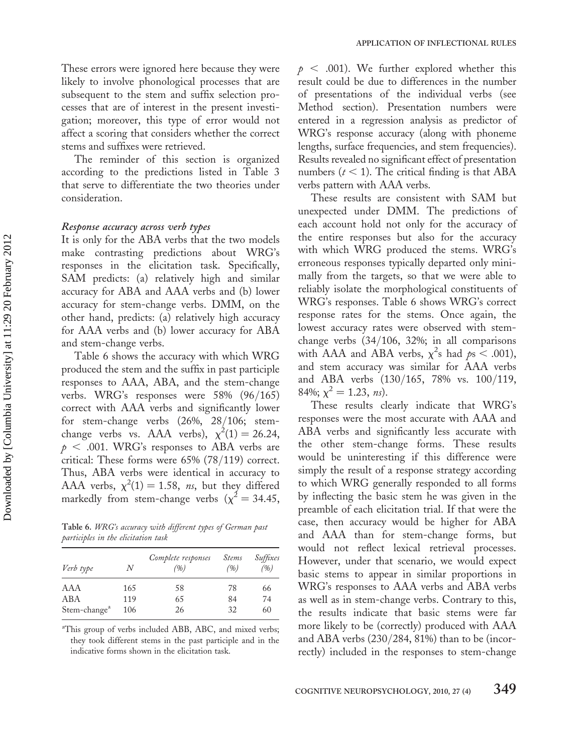These errors were ignored here because they were likely to involve phonological processes that are subsequent to the stem and suffix selection processes that are of interest in the present investigation; moreover, this type of error would not affect a scoring that considers whether the correct stems and suffixes were retrieved.

The reminder of this section is organized according to the predictions listed in Table 3 that serve to differentiate the two theories under consideration.

#### Response accuracy across verb types

It is only for the ABA verbs that the two models make contrasting predictions about WRG's responses in the elicitation task. Specifically, SAM predicts: (a) relatively high and similar accuracy for ABA and AAA verbs and (b) lower accuracy for stem-change verbs. DMM, on the other hand, predicts: (a) relatively high accuracy for AAA verbs and (b) lower accuracy for ABA and stem-change verbs.

Table 6 shows the accuracy with which WRG produced the stem and the suffix in past participle responses to AAA, ABA, and the stem-change verbs. WRG's responses were 58% (96/165) correct with AAA verbs and significantly lower for stem-change verbs (26%, 28/106; stemchange verbs vs. AAA verbs),  $\chi^2(1) = 26.24$ ,  $p \leq .001$ . WRG's responses to ABA verbs are critical: These forms were 65% (78/119) correct. Thus, ABA verbs were identical in accuracy to AAA verbs,  $\chi^2(1) = 1.58$ , ns, but they differed markedly from stem-change verbs  $(\chi^2 = 34.45,$ 

Table 6. WRG's accuracy with different types of German past participles in the elicitation task

| Verb type                | N   | Complete responses<br>(%) | Stems<br>(%) | Suffixes<br>(%) |
|--------------------------|-----|---------------------------|--------------|-----------------|
| AAA                      | 165 | 58                        | 78           | 66              |
| ABA                      | 119 | 65                        | 84           | 74              |
| Stem-change <sup>a</sup> | 106 | 26                        | 32           | 60              |

a This group of verbs included ABB, ABC, and mixed verbs; they took different stems in the past participle and in the indicative forms shown in the elicitation task.

 $p < .001$ ). We further explored whether this result could be due to differences in the number of presentations of the individual verbs (see Method section). Presentation numbers were entered in a regression analysis as predictor of WRG's response accuracy (along with phoneme lengths, surface frequencies, and stem frequencies). Results revealed no significant effect of presentation numbers  $(t < 1)$ . The critical finding is that ABA verbs pattern with AAA verbs.

These results are consistent with SAM but unexpected under DMM. The predictions of each account hold not only for the accuracy of the entire responses but also for the accuracy with which WRG produced the stems. WRG's erroneous responses typically departed only minimally from the targets, so that we were able to reliably isolate the morphological constituents of WRG's responses. Table 6 shows WRG's correct response rates for the stems. Once again, the lowest accuracy rates were observed with stemchange verbs (34/106, 32%; in all comparisons with AAA and ABA verbs,  $\chi^2$ s had  $ps < .001$ ), and stem accuracy was similar for AAA verbs and ABA verbs (130/165, 78% vs. 100/119, 84%;  $\chi^2 = 1.23$ , ns).

These results clearly indicate that WRG's responses were the most accurate with AAA and ABA verbs and significantly less accurate with the other stem-change forms. These results would be uninteresting if this difference were simply the result of a response strategy according to which WRG generally responded to all forms by inflecting the basic stem he was given in the preamble of each elicitation trial. If that were the case, then accuracy would be higher for ABA and AAA than for stem-change forms, but would not reflect lexical retrieval processes. However, under that scenario, we would expect basic stems to appear in similar proportions in WRG's responses to AAA verbs and ABA verbs as well as in stem-change verbs. Contrary to this, the results indicate that basic stems were far more likely to be (correctly) produced with AAA and ABA verbs (230/284, 81%) than to be (incorrectly) included in the responses to stem-change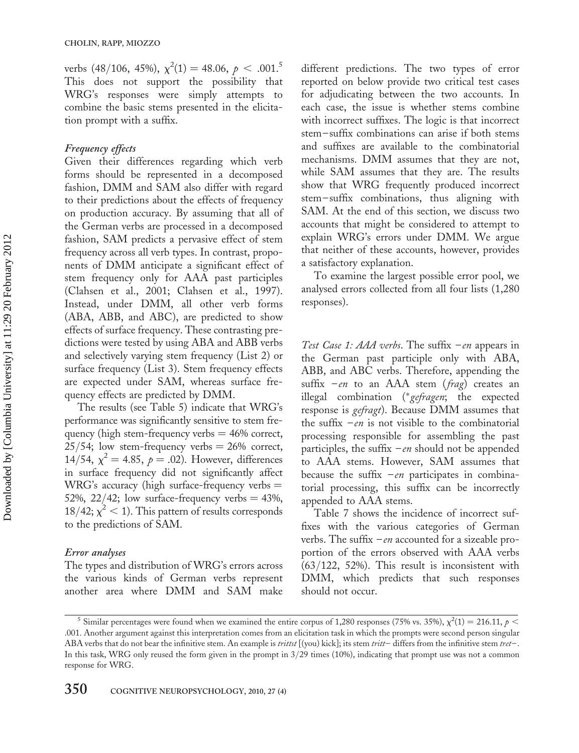verbs (48/106, 45%),  $\chi^2(1) = 48.06, p < .001.^5$ This does not support the possibility that WRG's responses were simply attempts to combine the basic stems presented in the elicitation prompt with a suffix.

#### Frequency effects

Given their differences regarding which verb forms should be represented in a decomposed fashion, DMM and SAM also differ with regard to their predictions about the effects of frequency on production accuracy. By assuming that all of the German verbs are processed in a decomposed fashion, SAM predicts a pervasive effect of stem frequency across all verb types. In contrast, proponents of DMM anticipate a significant effect of stem frequency only for AAA past participles (Clahsen et al., 2001; Clahsen et al., 1997). Instead, under DMM, all other verb forms (ABA, ABB, and ABC), are predicted to show effects of surface frequency. These contrasting predictions were tested by using ABA and ABB verbs and selectively varying stem frequency (List 2) or surface frequency (List 3). Stem frequency effects are expected under SAM, whereas surface frequency effects are predicted by DMM.

The results (see Table 5) indicate that WRG's performance was significantly sensitive to stem frequency (high stem-frequency verbs  $= 46\%$  correct,  $25/54$ ; low stem-frequency verbs  $= 26\%$  correct, 14/54,  $\chi^2 = 4.85$ ,  $\rho = .02$ ). However, differences in surface frequency did not significantly affect WRG's accuracy (high surface-frequency verbs  $=$ 52%, 22/42; low surface-frequency verbs  $=$  43%,  $18/42$ ;  $\chi^2$  < 1). This pattern of results corresponds to the predictions of SAM.

#### Error analyses

The types and distribution of WRG's errors across the various kinds of German verbs represent another area where DMM and SAM make different predictions. The two types of error reported on below provide two critical test cases for adjudicating between the two accounts. In each case, the issue is whether stems combine with incorrect suffixes. The logic is that incorrect stem – suffix combinations can arise if both stems and suffixes are available to the combinatorial mechanisms. DMM assumes that they are not, while SAM assumes that they are. The results show that WRG frequently produced incorrect stem – suffix combinations, thus aligning with SAM. At the end of this section, we discuss two accounts that might be considered to attempt to explain WRG's errors under DMM. We argue that neither of these accounts, however, provides a satisfactory explanation.

To examine the largest possible error pool, we analysed errors collected from all four lists (1,280 responses).

Test Case 1: AAA verbs. The suffix –en appears in the German past participle only with ABA, ABB, and ABC verbs. Therefore, appending the suffix  $-en$  to an AAA stem (frag) creates an illegal combination (∗gefragen; the expected response is gefragt). Because DMM assumes that the suffix  $-en$  is not visible to the combinatorial processing responsible for assembling the past participles, the suffix  $-en$  should not be appended to AAA stems. However, SAM assumes that because the suffix  $-en$  participates in combinatorial processing, this suffix can be incorrectly appended to AAA stems.

Table 7 shows the incidence of incorrect suffixes with the various categories of German verbs. The suffix  $-en$  accounted for a sizeable proportion of the errors observed with AAA verbs (63/122, 52%). This result is inconsistent with DMM, which predicts that such responses should not occur.

<sup>&</sup>lt;sup>5</sup> Similar percentages were found when we examined the entire corpus of 1,280 responses (75% vs. 35%),  $\chi^2(1)=216.11, \rho <$ .001. Another argument against this interpretation comes from an elicitation task in which the prompts were second person singular ABA verbs that do not bear the infinitive stem. An example is *trittst*  $[(you)$  kick]; its stem *tritt*– differs from the infinitive stem *tret*–. In this task, WRG only reused the form given in the prompt in 3/29 times (10%), indicating that prompt use was not a common response for WRG.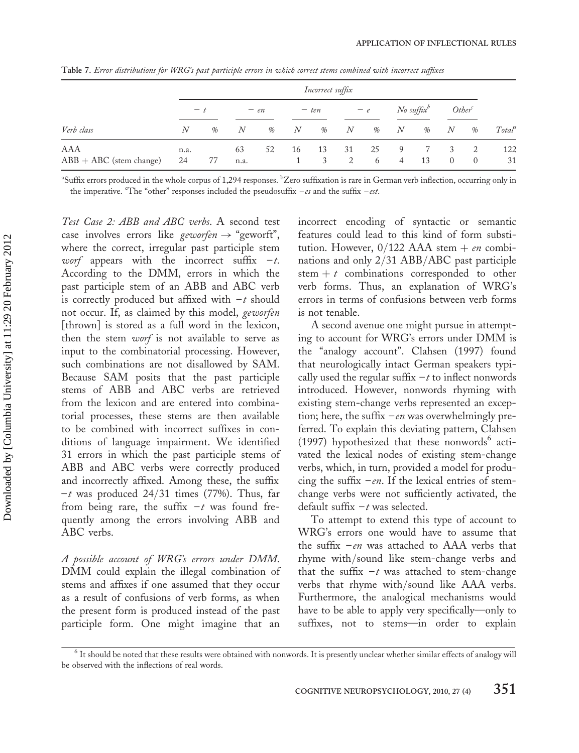|                                  |            |      |            |    |                    | Incorrect suffix              |             |                         |                        |         |                     |                     |                    |
|----------------------------------|------------|------|------------|----|--------------------|-------------------------------|-------------|-------------------------|------------------------|---------|---------------------|---------------------|--------------------|
|                                  | $- t$      |      | $- en$     |    | $-$ ten            |                               | $-\epsilon$ |                         | No suffix <sup>b</sup> |         | Other <sup>ε</sup>  |                     |                    |
| Verb class                       | N          | $\%$ | N          | %  | N                  | $\%$                          | N           | %                       | $\overline{N}$         | $\%$    | $\overline{N}$      | %                   | Total <sup>a</sup> |
| AAA<br>$ABB + ABC$ (stem change) | n.a.<br>24 | 77   | 63<br>n.a. | 52 | 16<br>$\mathbf{1}$ | 13<br>$\overline{\mathbf{3}}$ | 31<br>2     | 25 9<br>$6\overline{6}$ | $\overline{4}$         | 7<br>13 | 3<br>$\overline{0}$ | 2<br>$\overline{0}$ | 122<br>31          |

Table 7. Error distributions for WRG's past participle errors in which correct stems combined with incorrect suffixes

a Suffix errors produced in the whole corpus of 1,294 responses. <sup>b</sup> Zero suffixation is rare in German verb inflection, occurring only in the imperative. "The "other" responses included the pseudosuffix  $-e$ s and the suffix  $-e$ st.

Test Case 2: ABB and ABC verbs. A second test case involves errors like *geworfen*  $\rightarrow$  "geworft", where the correct, irregular past participle stem *worf* appears with the incorrect suffix  $-t$ . According to the DMM, errors in which the past participle stem of an ABB and ABC verb is correctly produced but affixed with  $-t$  should not occur. If, as claimed by this model, geworfen [thrown] is stored as a full word in the lexicon, then the stem *worf* is not available to serve as input to the combinatorial processing. However, such combinations are not disallowed by SAM. Because SAM posits that the past participle stems of ABB and ABC verbs are retrieved from the lexicon and are entered into combinatorial processes, these stems are then available to be combined with incorrect suffixes in conditions of language impairment. We identified 31 errors in which the past participle stems of ABB and ABC verbs were correctly produced and incorrectly affixed. Among these, the suffix  $-t$  was produced 24/31 times (77%). Thus, far from being rare, the suffix  $-t$  was found frequently among the errors involving ABB and ABC verbs.

A possible account of WRG's errors under DMM. DMM could explain the illegal combination of stems and affixes if one assumed that they occur as a result of confusions of verb forms, as when the present form is produced instead of the past participle form. One might imagine that an incorrect encoding of syntactic or semantic features could lead to this kind of form substitution. However,  $0/122$  AAA stem + en combinations and only 2/31 ABB/ABC past participle stem  $+ t$  combinations corresponded to other verb forms. Thus, an explanation of WRG's errors in terms of confusions between verb forms is not tenable.

A second avenue one might pursue in attempting to account for WRG's errors under DMM is the "analogy account". Clahsen (1997) found that neurologically intact German speakers typically used the regular suffix  $-t$  to inflect nonwords introduced. However, nonwords rhyming with existing stem-change verbs represented an exception; here, the suffix  $-en$  was overwhelmingly preferred. To explain this deviating pattern, Clahsen (1997) hypothesized that these nonwords $6$  activated the lexical nodes of existing stem-change verbs, which, in turn, provided a model for producing the suffix  $-en.$  If the lexical entries of stemchange verbs were not sufficiently activated, the default suffix  $-t$  was selected.

To attempt to extend this type of account to WRG's errors one would have to assume that the suffix  $-en$  was attached to AAA verbs that rhyme with/sound like stem-change verbs and that the suffix  $-t$  was attached to stem-change verbs that rhyme with/sound like AAA verbs. Furthermore, the analogical mechanisms would have to be able to apply very specifically—only to suffixes, not to stems—in order to explain

<sup>6</sup> It should be noted that these results were obtained with nonwords. It is presently unclear whether similar effects of analogy will be observed with the inflections of real words.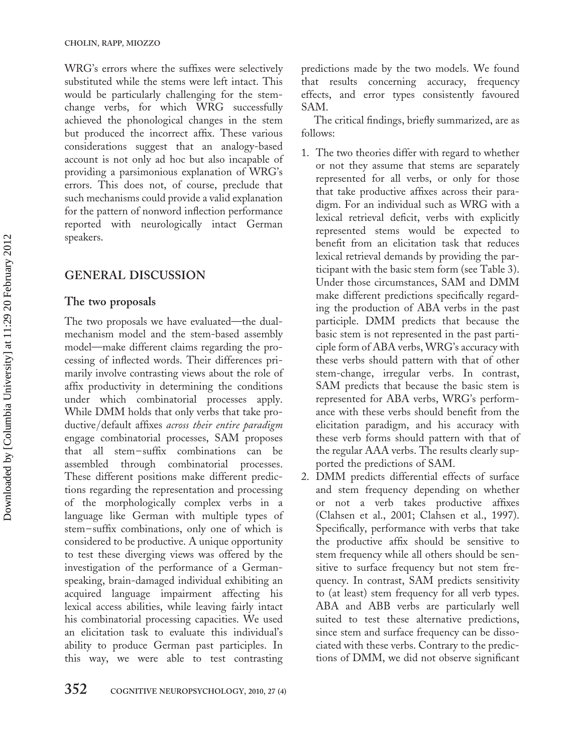WRG's errors where the suffixes were selectively substituted while the stems were left intact. This would be particularly challenging for the stemchange verbs, for which WRG successfully achieved the phonological changes in the stem but produced the incorrect affix. These various considerations suggest that an analogy-based account is not only ad hoc but also incapable of providing a parsimonious explanation of WRG's errors. This does not, of course, preclude that such mechanisms could provide a valid explanation for the pattern of nonword inflection performance reported with neurologically intact German speakers.

## GENERAL DISCUSSION

## The two proposals

The two proposals we have evaluated—the dualmechanism model and the stem-based assembly model—make different claims regarding the processing of inflected words. Their differences primarily involve contrasting views about the role of affix productivity in determining the conditions under which combinatorial processes apply. While DMM holds that only verbs that take productive/default affixes across their entire paradigm engage combinatorial processes, SAM proposes that all stem – suffix combinations can be assembled through combinatorial processes. These different positions make different predictions regarding the representation and processing of the morphologically complex verbs in a language like German with multiple types of stem – suffix combinations, only one of which is considered to be productive. A unique opportunity to test these diverging views was offered by the investigation of the performance of a Germanspeaking, brain-damaged individual exhibiting an acquired language impairment affecting his lexical access abilities, while leaving fairly intact his combinatorial processing capacities. We used an elicitation task to evaluate this individual's ability to produce German past participles. In this way, we were able to test contrasting

352 COGNITIVE NEUROPSYCHOLOGY, 2010, 27 (4)

predictions made by the two models. We found that results concerning accuracy, frequency effects, and error types consistently favoured SAM.

The critical findings, briefly summarized, are as follows:

- 1. The two theories differ with regard to whether or not they assume that stems are separately represented for all verbs, or only for those that take productive affixes across their paradigm. For an individual such as WRG with a lexical retrieval deficit, verbs with explicitly represented stems would be expected to benefit from an elicitation task that reduces lexical retrieval demands by providing the participant with the basic stem form (see Table 3). Under those circumstances, SAM and DMM make different predictions specifically regarding the production of ABA verbs in the past participle. DMM predicts that because the basic stem is not represented in the past participle form of ABA verbs, WRG's accuracy with these verbs should pattern with that of other stem-change, irregular verbs. In contrast, SAM predicts that because the basic stem is represented for ABA verbs, WRG's performance with these verbs should benefit from the elicitation paradigm, and his accuracy with these verb forms should pattern with that of the regular AAA verbs. The results clearly supported the predictions of SAM.
- 2. DMM predicts differential effects of surface and stem frequency depending on whether or not a verb takes productive affixes (Clahsen et al., 2001; Clahsen et al., 1997). Specifically, performance with verbs that take the productive affix should be sensitive to stem frequency while all others should be sensitive to surface frequency but not stem frequency. In contrast, SAM predicts sensitivity to (at least) stem frequency for all verb types. ABA and ABB verbs are particularly well suited to test these alternative predictions, since stem and surface frequency can be dissociated with these verbs. Contrary to the predictions of DMM, we did not observe significant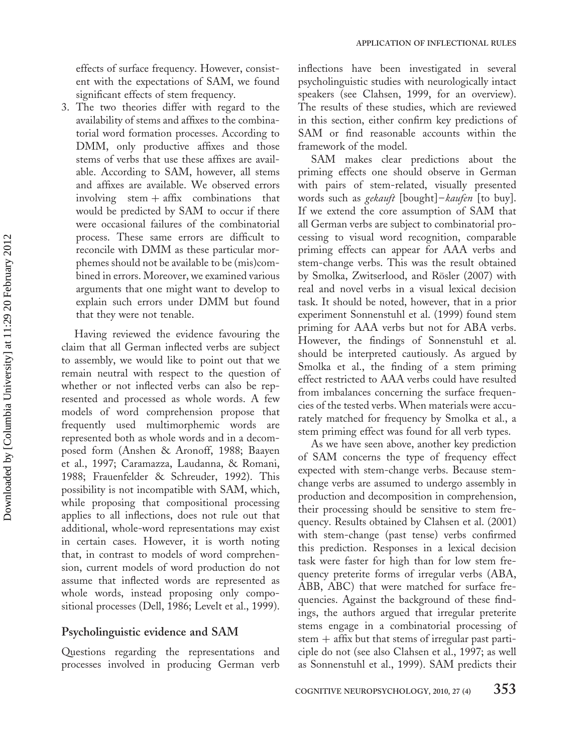effects of surface frequency. However, consistent with the expectations of SAM, we found significant effects of stem frequency.

3. The two theories differ with regard to the availability of stems and affixes to the combinatorial word formation processes. According to DMM, only productive affixes and those stems of verbs that use these affixes are available. According to SAM, however, all stems and affixes are available. We observed errors involving  $stem + affix$  combinations that would be predicted by SAM to occur if there were occasional failures of the combinatorial process. These same errors are difficult to reconcile with DMM as these particular morphemes should not be available to be (mis)combined in errors. Moreover, we examined various arguments that one might want to develop to explain such errors under DMM but found that they were not tenable.

Having reviewed the evidence favouring the claim that all German inflected verbs are subject to assembly, we would like to point out that we remain neutral with respect to the question of whether or not inflected verbs can also be represented and processed as whole words. A few models of word comprehension propose that frequently used multimorphemic words are represented both as whole words and in a decomposed form (Anshen & Aronoff, 1988; Baayen et al., 1997; Caramazza, Laudanna, & Romani, 1988; Frauenfelder & Schreuder, 1992). This possibility is not incompatible with SAM, which, while proposing that compositional processing applies to all inflections, does not rule out that additional, whole-word representations may exist in certain cases. However, it is worth noting that, in contrast to models of word comprehension, current models of word production do not assume that inflected words are represented as whole words, instead proposing only compositional processes (Dell, 1986; Levelt et al., 1999).

### Psycholinguistic evidence and SAM

Questions regarding the representations and processes involved in producing German verb

inflections have been investigated in several psycholinguistic studies with neurologically intact speakers (see Clahsen, 1999, for an overview). The results of these studies, which are reviewed in this section, either confirm key predictions of SAM or find reasonable accounts within the framework of the model.

SAM makes clear predictions about the priming effects one should observe in German with pairs of stem-related, visually presented words such as *gekauft* [bought]-*kaufen* [to buy]. If we extend the core assumption of SAM that all German verbs are subject to combinatorial processing to visual word recognition, comparable priming effects can appear for AAA verbs and stem-change verbs. This was the result obtained by Smolka, Zwitserlood, and Rösler (2007) with real and novel verbs in a visual lexical decision task. It should be noted, however, that in a prior experiment Sonnenstuhl et al. (1999) found stem priming for AAA verbs but not for ABA verbs. However, the findings of Sonnenstuhl et al. should be interpreted cautiously. As argued by Smolka et al., the finding of a stem priming effect restricted to AAA verbs could have resulted from imbalances concerning the surface frequencies of the tested verbs. When materials were accurately matched for frequency by Smolka et al., a stem priming effect was found for all verb types.

As we have seen above, another key prediction of SAM concerns the type of frequency effect expected with stem-change verbs. Because stemchange verbs are assumed to undergo assembly in production and decomposition in comprehension, their processing should be sensitive to stem frequency. Results obtained by Clahsen et al. (2001) with stem-change (past tense) verbs confirmed this prediction. Responses in a lexical decision task were faster for high than for low stem frequency preterite forms of irregular verbs (ABA, ABB, ABC) that were matched for surface frequencies. Against the background of these findings, the authors argued that irregular preterite stems engage in a combinatorial processing of stem  $+$  affix but that stems of irregular past participle do not (see also Clahsen et al., 1997; as well as Sonnenstuhl et al., 1999). SAM predicts their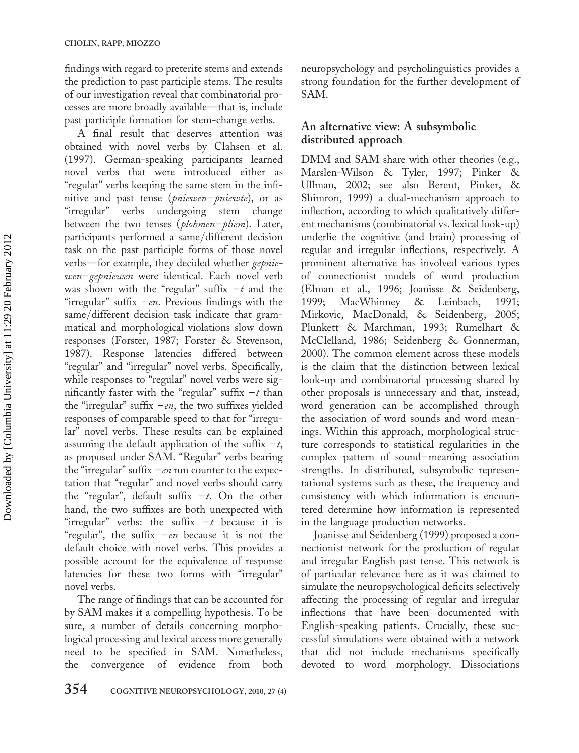findings with regard to preterite stems and extends the prediction to past participle stems. The results of our investigation reveal that combinatorial processes are more broadly available—that is, include past participle formation for stem-change verbs.

A final result that deserves attention was obtained with novel verbs by Clahsen et al. (1997). German-speaking participants learned novel verbs that were introduced either as "regular" verbs keeping the same stem in the infinitive and past tense (*pniewen–pniewte*), or as "irregular" verbs undergoing stem change between the two tenses (*plohmen–pliem*). Later, participants performed a same/different decision task on the past participle forms of those novel verbs—for example, they decided whether gepniewen–gepniewen were identical. Each novel verb was shown with the "regular" suffix  $-t$  and the "irregular" suffix  $-en.$  Previous findings with the same/different decision task indicate that grammatical and morphological violations slow down responses (Forster, 1987; Forster & Stevenson, 1987). Response latencies differed between "regular" and "irregular" novel verbs. Specifically, while responses to "regular" novel verbs were significantly faster with the "regular" suffix  $-t$  than the "irregular" suffix  $-en$ , the two suffixes yielded responses of comparable speed to that for "irregular" novel verbs. These results can be explained assuming the default application of the suffix  $-t$ , as proposed under SAM. "Regular" verbs bearing the "irregular" suffix  $-en$  run counter to the expectation that "regular" and novel verbs should carry the "regular", default suffix  $-t$ . On the other hand, the two suffixes are both unexpected with "irregular" verbs: the suffix  $-t$  because it is "regular", the suffix  $-en$  because it is not the default choice with novel verbs. This provides a possible account for the equivalence of response latencies for these two forms with "irregular" novel verbs.

The range of findings that can be accounted for by SAM makes it a compelling hypothesis. To be sure, a number of details concerning morphological processing and lexical access more generally need to be specified in SAM. Nonetheless, the convergence of evidence from both neuropsychology and psycholinguistics provides a strong foundation for the further development of SAM.

## An alternative view: A subsymbolic distributed approach

DMM and SAM share with other theories (e.g., Marslen-Wilson & Tyler, 1997; Pinker & Ullman, 2002; see also Berent, Pinker, & Shimron, 1999) a dual-mechanism approach to inflection, according to which qualitatively different mechanisms (combinatorial vs. lexical look-up) underlie the cognitive (and brain) processing of regular and irregular inflections, respectively. A prominent alternative has involved various types of connectionist models of word production (Elman et al., 1996; Joanisse & Seidenberg, 1999; MacWhinney & Leinbach, 1991; Mirkovic, MacDonald, & Seidenberg, 2005; Plunkett & Marchman, 1993; Rumelhart & McClelland, 1986; Seidenberg & Gonnerman, 2000). The common element across these models is the claim that the distinction between lexical look-up and combinatorial processing shared by other proposals is unnecessary and that, instead, word generation can be accomplished through the association of word sounds and word meanings. Within this approach, morphological structure corresponds to statistical regularities in the complex pattern of sound-meaning association strengths. In distributed, subsymbolic representational systems such as these, the frequency and consistency with which information is encountered determine how information is represented in the language production networks.

Joanisse and Seidenberg (1999) proposed a connectionist network for the production of regular and irregular English past tense. This network is of particular relevance here as it was claimed to simulate the neuropsychological deficits selectively affecting the processing of regular and irregular inflections that have been documented with English-speaking patients. Crucially, these successful simulations were obtained with a network that did not include mechanisms specifically devoted to word morphology. Dissociations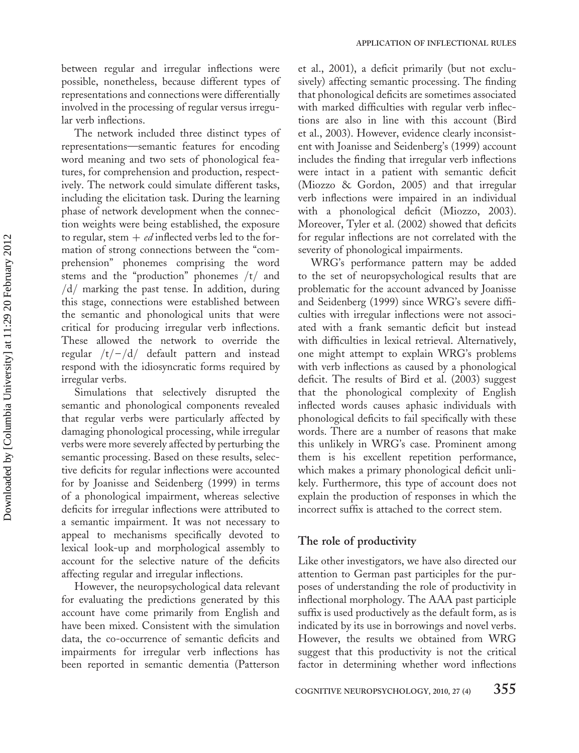between regular and irregular inflections were possible, nonetheless, because different types of representations and connections were differentially involved in the processing of regular versus irregular verb inflections.

The network included three distinct types of representations—semantic features for encoding word meaning and two sets of phonological features, for comprehension and production, respectively. The network could simulate different tasks, including the elicitation task. During the learning phase of network development when the connection weights were being established, the exposure to regular, stem  $+$  *ed* inflected verbs led to the formation of strong connections between the "comprehension" phonemes comprising the word stems and the "production" phonemes /t/ and /d/ marking the past tense. In addition, during this stage, connections were established between the semantic and phonological units that were critical for producing irregular verb inflections. These allowed the network to override the regular  $/t$  – /d/ default pattern and instead respond with the idiosyncratic forms required by irregular verbs.

Simulations that selectively disrupted the semantic and phonological components revealed that regular verbs were particularly affected by damaging phonological processing, while irregular verbs were more severely affected by perturbing the semantic processing. Based on these results, selective deficits for regular inflections were accounted for by Joanisse and Seidenberg (1999) in terms of a phonological impairment, whereas selective deficits for irregular inflections were attributed to a semantic impairment. It was not necessary to appeal to mechanisms specifically devoted to lexical look-up and morphological assembly to account for the selective nature of the deficits affecting regular and irregular inflections.

However, the neuropsychological data relevant for evaluating the predictions generated by this account have come primarily from English and have been mixed. Consistent with the simulation data, the co-occurrence of semantic deficits and impairments for irregular verb inflections has been reported in semantic dementia (Patterson

et al., 2001), a deficit primarily (but not exclusively) affecting semantic processing. The finding that phonological deficits are sometimes associated with marked difficulties with regular verb inflections are also in line with this account (Bird et al., 2003). However, evidence clearly inconsistent with Joanisse and Seidenberg's (1999) account includes the finding that irregular verb inflections were intact in a patient with semantic deficit (Miozzo & Gordon, 2005) and that irregular verb inflections were impaired in an individual with a phonological deficit (Miozzo, 2003). Moreover, Tyler et al. (2002) showed that deficits for regular inflections are not correlated with the severity of phonological impairments.

WRG's performance pattern may be added to the set of neuropsychological results that are problematic for the account advanced by Joanisse and Seidenberg (1999) since WRG's severe difficulties with irregular inflections were not associated with a frank semantic deficit but instead with difficulties in lexical retrieval. Alternatively, one might attempt to explain WRG's problems with verb inflections as caused by a phonological deficit. The results of Bird et al. (2003) suggest that the phonological complexity of English inflected words causes aphasic individuals with phonological deficits to fail specifically with these words. There are a number of reasons that make this unlikely in WRG's case. Prominent among them is his excellent repetition performance, which makes a primary phonological deficit unlikely. Furthermore, this type of account does not explain the production of responses in which the incorrect suffix is attached to the correct stem.

## The role of productivity

Like other investigators, we have also directed our attention to German past participles for the purposes of understanding the role of productivity in inflectional morphology. The AAA past participle suffix is used productively as the default form, as is indicated by its use in borrowings and novel verbs. However, the results we obtained from WRG suggest that this productivity is not the critical factor in determining whether word inflections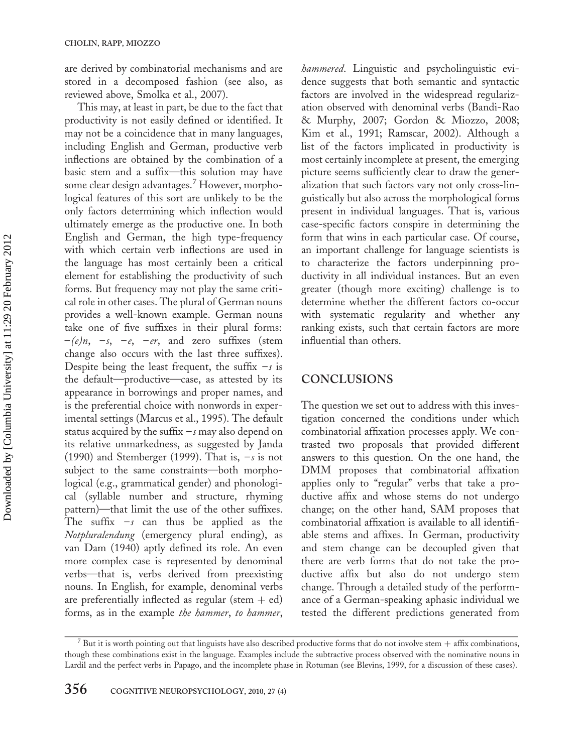are derived by combinatorial mechanisms and are stored in a decomposed fashion (see also, as reviewed above, Smolka et al., 2007).

This may, at least in part, be due to the fact that productivity is not easily defined or identified. It may not be a coincidence that in many languages, including English and German, productive verb inflections are obtained by the combination of a basic stem and a suffix—this solution may have some clear design advantages.<sup>7</sup> However, morphological features of this sort are unlikely to be the only factors determining which inflection would ultimately emerge as the productive one. In both English and German, the high type-frequency with which certain verb inflections are used in the language has most certainly been a critical element for establishing the productivity of such forms. But frequency may not play the same critical role in other cases. The plural of German nouns provides a well-known example. German nouns take one of five suffixes in their plural forms:  $-(e)n$ ,  $-s$ ,  $-e$ ,  $-er$ , and zero suffixes (stem change also occurs with the last three suffixes). Despite being the least frequent, the suffix  $-s$  is the default—productive—case, as attested by its appearance in borrowings and proper names, and is the preferential choice with nonwords in experimental settings (Marcus et al., 1995). The default status acquired by the suffix  $-s$  may also depend on its relative unmarkedness, as suggested by Janda (1990) and Stemberger (1999). That is,  $-s$  is not subject to the same constraints—both morphological (e.g., grammatical gender) and phonological (syllable number and structure, rhyming pattern)—that limit the use of the other suffixes. The suffix  $-s$  can thus be applied as the Notpluralendung (emergency plural ending), as van Dam (1940) aptly defined its role. An even more complex case is represented by denominal verbs—that is, verbs derived from preexisting nouns. In English, for example, denominal verbs are preferentially inflected as regular (stem  $+$  ed) forms, as in the example the hammer, to hammer,

hammered. Linguistic and psycholinguistic evidence suggests that both semantic and syntactic factors are involved in the widespread regularization observed with denominal verbs (Bandi-Rao & Murphy, 2007; Gordon & Miozzo, 2008; Kim et al., 1991; Ramscar, 2002). Although a list of the factors implicated in productivity is most certainly incomplete at present, the emerging picture seems sufficiently clear to draw the generalization that such factors vary not only cross-linguistically but also across the morphological forms present in individual languages. That is, various case-specific factors conspire in determining the form that wins in each particular case. Of course, an important challenge for language scientists is to characterize the factors underpinning productivity in all individual instances. But an even greater (though more exciting) challenge is to determine whether the different factors co-occur with systematic regularity and whether any ranking exists, such that certain factors are more influential than others.

## CONCLUSIONS

The question we set out to address with this investigation concerned the conditions under which combinatorial affixation processes apply. We contrasted two proposals that provided different answers to this question. On the one hand, the DMM proposes that combinatorial affixation applies only to "regular" verbs that take a productive affix and whose stems do not undergo change; on the other hand, SAM proposes that combinatorial affixation is available to all identifiable stems and affixes. In German, productivity and stem change can be decoupled given that there are verb forms that do not take the productive affix but also do not undergo stem change. Through a detailed study of the performance of a German-speaking aphasic individual we tested the different predictions generated from

 $^7$  But it is worth pointing out that linguists have also described productive forms that do not involve stem  $+$  affix combinations, though these combinations exist in the language. Examples include the subtractive process observed with the nominative nouns in Lardil and the perfect verbs in Papago, and the incomplete phase in Rotuman (see Blevins, 1999, for a discussion of these cases).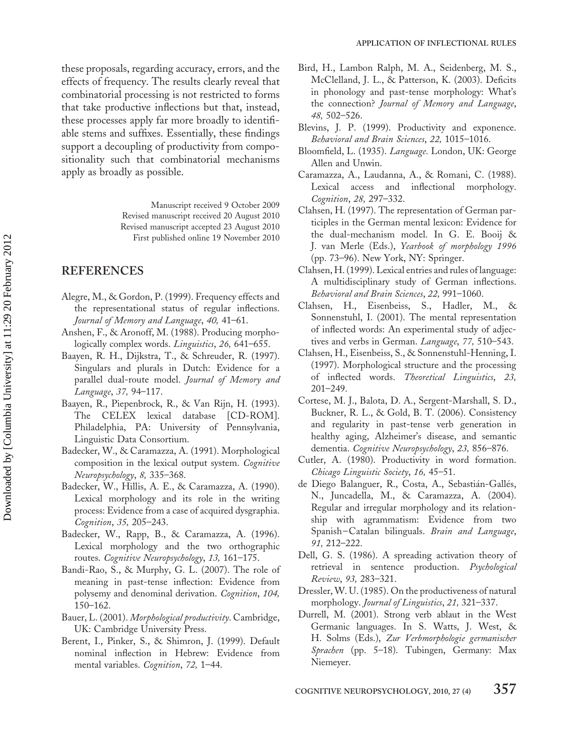these proposals, regarding accuracy, errors, and the effects of frequency. The results clearly reveal that combinatorial processing is not restricted to forms that take productive inflections but that, instead, these processes apply far more broadly to identifiable stems and suffixes. Essentially, these findings support a decoupling of productivity from compositionality such that combinatorial mechanisms apply as broadly as possible.

> Manuscript received 9 October 2009 Revised manuscript received 20 August 2010 Revised manuscript accepted 23 August 2010 First published online 19 November 2010

## REFERENCES

- Alegre, M., & Gordon, P. (1999). Frequency effects and the representational status of regular inflections. Journal of Memory and Language, 40, 41–61.
- Anshen, F., & Aronoff, M. (1988). Producing morphologically complex words. *Linguistics*, 26, 641–655.
- Baayen, R. H., Dijkstra, T., & Schreuder, R. (1997). Singulars and plurals in Dutch: Evidence for a parallel dual-route model. Journal of Memory and Language, 37, 94–117.
- Baayen, R., Piepenbrock, R., & Van Rijn, H. (1993). The CELEX lexical database [CD-ROM]. Philadelphia, PA: University of Pennsylvania, Linguistic Data Consortium.
- Badecker, W., & Caramazza, A. (1991). Morphological composition in the lexical output system. Cognitive Neuropsychology, 8, 335–368.
- Badecker, W., Hillis, A. E., & Caramazza, A. (1990). Lexical morphology and its role in the writing process: Evidence from a case of acquired dysgraphia. Cognition, 35, 205–243.
- Badecker, W., Rapp, B., & Caramazza, A. (1996). Lexical morphology and the two orthographic routes. Cognitive Neuropsychology, 13, 161–175.
- Bandi-Rao, S., & Murphy, G. L. (2007). The role of meaning in past-tense inflection: Evidence from polysemy and denominal derivation. Cognition, 104, 150–162.
- Bauer, L. (2001). Morphological productivity. Cambridge, UK: Cambridge University Press.
- Berent, I., Pinker, S., & Shimron, J. (1999). Default nominal inflection in Hebrew: Evidence from mental variables. Cognition, 72, 1-44.
- Bird, H., Lambon Ralph, M. A., Seidenberg, M. S., McClelland, J. L., & Patterson, K. (2003). Deficits in phonology and past-tense morphology: What's the connection? Journal of Memory and Language, 48, 502–526.
- Blevins, J. P. (1999). Productivity and exponence. Behavioral and Brain Sciences, 22, 1015–1016.
- Bloomfield, L. (1935). Language. London, UK: George Allen and Unwin.
- Caramazza, A., Laudanna, A., & Romani, C. (1988). Lexical access and inflectional morphology. Cognition, 28, 297–332.
- Clahsen, H. (1997). The representation of German participles in the German mental lexicon: Evidence for the dual-mechanism model. In G. E. Booij & J. van Merle (Eds.), Yearbook of morphology 1996 (pp. 73–96). New York, NY: Springer.
- Clahsen, H. (1999). Lexical entries and rules of language: A multidisciplinary study of German inflections. Behavioral and Brain Sciences, 22, 991–1060.
- Clahsen, H., Eisenbeiss, S., Hadler, M., & Sonnenstuhl, I. (2001). The mental representation of inflected words: An experimental study of adjectives and verbs in German. Language, 77, 510–543.
- Clahsen, H., Eisenbeiss, S., & Sonnenstuhl-Henning, I. (1997). Morphological structure and the processing of inflected words. Theoretical Linguistics, 23, 201–249.
- Cortese, M. J., Balota, D. A., Sergent-Marshall, S. D., Buckner, R. L., & Gold, B. T. (2006). Consistency and regularity in past-tense verb generation in healthy aging, Alzheimer's disease, and semantic dementia. Cognitive Neuropsychology, 23, 856–876.
- Cutler, A. (1980). Productivity in word formation. Chicago Linguistic Society, 16, 45–51.
- de Diego Balanguer, R., Costa, A., Sebastián-Gallés, N., Juncadella, M., & Caramazza, A. (2004). Regular and irregular morphology and its relationship with agrammatism: Evidence from two Spanish-Catalan bilinguals. Brain and Language, 91, 212–222.
- Dell, G. S. (1986). A spreading activation theory of retrieval in sentence production. Psychological Review, 93, 283–321.
- Dressler, W. U. (1985). On the productiveness of natural morphology. Journal of Linguistics, 21, 321-337.
- Durrell, M. (2001). Strong verb ablaut in the West Germanic languages. In S. Watts, J. West, & H. Solms (Eds.), Zur Verbmorphologie germanischer Sprachen (pp. 5-18). Tubingen, Germany: Max Niemeyer.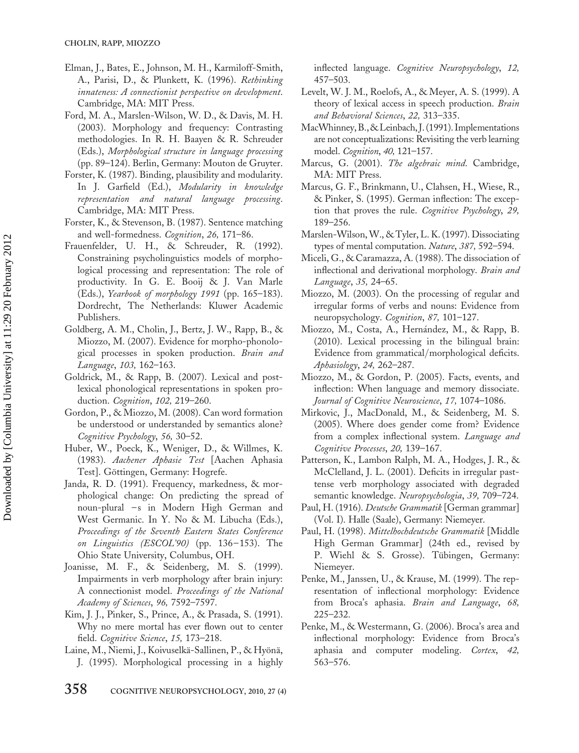- Elman, J., Bates, E., Johnson, M. H., Karmiloff-Smith, A., Parisi, D., & Plunkett, K. (1996). Rethinking innateness: A connectionist perspective on development. Cambridge, MA: MIT Press.
- Ford, M. A., Marslen-Wilson, W. D., & Davis, M. H. (2003). Morphology and frequency: Contrasting methodologies. In R. H. Baayen & R. Schreuder (Eds.), Morphological structure in language processing (pp. 89–124). Berlin, Germany: Mouton de Gruyter.
- Forster, K. (1987). Binding, plausibility and modularity. In J. Garfield (Ed.), Modularity in knowledge representation and natural language processing. Cambridge, MA: MIT Press.
- Forster, K., & Stevenson, B. (1987). Sentence matching and well-formedness. Cognition, 26, 171–86.
- Frauenfelder, U. H., & Schreuder, R. (1992). Constraining psycholinguistics models of morphological processing and representation: The role of productivity. In G. E. Booij & J. Van Marle (Eds.), Yearbook of morphology 1991 (pp. 165–183). Dordrecht, The Netherlands: Kluwer Academic Publishers.
- Goldberg, A. M., Cholin, J., Bertz, J. W., Rapp, B., & Miozzo, M. (2007). Evidence for morpho-phonological processes in spoken production. Brain and Language, 103, 162–163.
- Goldrick, M., & Rapp, B. (2007). Lexical and postlexical phonological representations in spoken production. Cognition, 102, 219–260.
- Gordon, P., & Miozzo, M. (2008). Can word formation be understood or understanded by semantics alone? Cognitive Psychology, 56, 30–52.
- Huber, W., Poeck, K., Weniger, D., & Willmes, K. (1983). Aachener Aphasie Test [Aachen Aphasia Test]. Göttingen, Germany: Hogrefe.
- Janda, R. D. (1991). Frequency, markedness, & morphological change: On predicting the spread of noun-plural -s in Modern High German and West Germanic. In Y. No & M. Libucha (Eds.), Proceedings of the Seventh Eastern States Conference on Linguistics (ESCOL'90) (pp. 136–153). The Ohio State University, Columbus, OH.
- Joanisse, M. F., & Seidenberg, M. S. (1999). Impairments in verb morphology after brain injury: A connectionist model. Proceedings of the National Academy of Sciences, 96, 7592–7597.
- Kim, J. J., Pinker, S., Prince, A., & Prasada, S. (1991). Why no mere mortal has ever flown out to center field. Cognitive Science, 15, 173–218.
- Laine, M., Niemi, J., Koivuselkä-Sallinen, P., & Hyönä, J. (1995). Morphological processing in a highly

inflected language. Cognitive Neuropsychology, 12, 457–503.

- Levelt, W. J. M., Roelofs, A., & Meyer, A. S. (1999). A theory of lexical access in speech production. Brain and Behavioral Sciences, 22, 313–335.
- MacWhinney,B.,& Leinbach, J. (1991). Implementations are not conceptualizations: Revisiting the verb learning model. Cognition, 40, 121–157.
- Marcus, G. (2001). The algebraic mind. Cambridge, MA: MIT Press.
- Marcus, G. F., Brinkmann, U., Clahsen, H., Wiese, R., & Pinker, S. (1995). German inflection: The exception that proves the rule. Cognitive Psychology, 29, 189–256.
- Marslen-Wilson, W., & Tyler, L. K. (1997). Dissociating types of mental computation. Nature, 387, 592–594.
- Miceli, G., & Caramazza, A. (1988). The dissociation of inflectional and derivational morphology. Brain and Language, 35, 24–65.
- Miozzo, M. (2003). On the processing of regular and irregular forms of verbs and nouns: Evidence from neuropsychology. Cognition, 87, 101–127.
- Miozzo, M., Costa, A., Hernández, M., & Rapp, B. (2010). Lexical processing in the bilingual brain: Evidence from grammatical/morphological deficits. Aphasiology, 24, 262–287.
- Miozzo, M., & Gordon, P. (2005). Facts, events, and inflection: When language and memory dissociate. Journal of Cognitive Neuroscience, 17, 1074–1086.
- Mirkovic, J., MacDonald, M., & Seidenberg, M. S. (2005). Where does gender come from? Evidence from a complex inflectional system. Language and Cognitive Processes, 20, 139–167.
- Patterson, K., Lambon Ralph, M. A., Hodges, J. R., & McClelland, J. L. (2001). Deficits in irregular pasttense verb morphology associated with degraded semantic knowledge. Neuropsychologia, 39, 709–724.
- Paul, H. (1916). Deutsche Grammatik [German grammar] (Vol. I). Halle (Saale), Germany: Niemeyer.
- Paul, H. (1998). Mittelhochdeutsche Grammatik [Middle High German Grammar] (24th ed., revised by P. Wiehl & S. Grosse). Tübingen, Germany: Niemeyer.
- Penke, M., Janssen, U., & Krause, M. (1999). The representation of inflectional morphology: Evidence from Broca's aphasia. Brain and Language, 68, 225–232.
- Penke, M., & Westermann, G. (2006). Broca's area and inflectional morphology: Evidence from Broca's aphasia and computer modeling. Cortex, 42, 563–576.